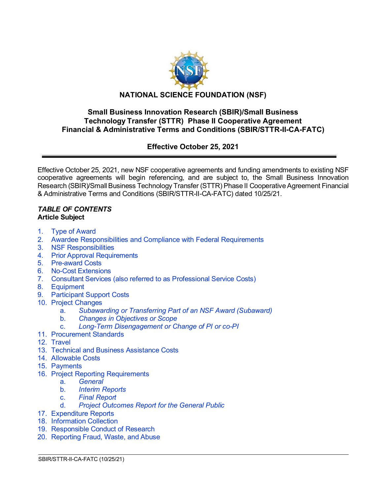

## **Small Business Innovation Research (SBIR)/Small Business Technology Transfer (STTR) Phase II Cooperative Agreement Financial & Administrative Terms and Conditions (SBIR/STTR-II-CA-FATC)**

# **Effective October 25, 2021**

Effective October 25, 2021, new NSF cooperative agreements and funding amendments to existing NSF cooperative agreements will begin referencing, and are subject to, the Small Business Innovation Research (SBIR)/Small Business Technology Transfer (STTR) Phase II Cooperative Agreement Financial & Administrative Terms and Conditions (SBIR/STTR-II-CA-FATC) dated 10/25/21.

 $\overline{a}$ 

#### *TABLE OF CONTENTS* **Article Subject**

- 1. [Type of Award](#page-1-0)
- 2. [Awardee Responsibilities and Compliance with Federal Requirements](#page-2-0)
- 3. [NSF Responsibilities](#page-3-0)
- 4. [Prior Approval Requirements](#page-3-1)
- 5. [Pre-award](#page-5-0) Costs
- 6. [No-Cost Extensions](#page-5-1)
- 7. Consultant Services (also referred to as [Professional Service](#page-5-2) Costs)
- 8. [Equipment](#page-5-3)
- [9. Participant Support Costs](#page-7-0)
- 10. [Project Changes](#page-7-1)
	- a. *[Subawarding or Transferring Part of an NSF Award \(Subaward\)](#page-7-2)*
	- b. *[Changes in Objectives or Scope](#page-8-0)*
	- c. *[Long-Term Disengagement or Change of PI or co-PI](#page-8-1)*
- 11. [Procurement Standards](#page-8-2)
- 12. [Travel](#page-8-3)
- 13. [Technical and Business Assistance Costs](#page-8-4)
- 14. [Allowable Costs](#page-9-0)
- 15. [Payments](#page-10-0)
- 16. [Project Reporting Requirements](#page-10-1)
	- a. *[General](#page-10-2)*
	- b. *[Interim Reports](#page-11-0)*
	- c. *[Final Report](#page-11-1)*
	- d. *[Project Outcomes Report for the General Public](#page-12-0)*
- 17. [Expenditure Reports](#page-12-1)
- 18. [Information Collection](#page-12-2)
- 19. [Responsible](#page-12-3) Conduct of Research
- 20. [Reporting Fraud, Waste, and Abuse](#page-13-0)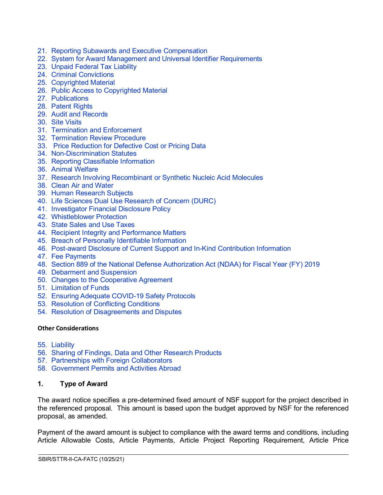- 21. Reporting Subawards and Executive [Compensation](#page-14-0)
- 22. [System for Award Management and](#page-17-0) Universal Identifier Requirements
- 23. [Unpaid Federal Tax Liability](#page-18-0)
- 24. [Criminal Convictions](#page-18-1)
- 25. [Copyrighted Material](#page-18-2)
- 26. [Public Access to Copyrighted Material](#page-19-0)
- 27. [Publications](#page-19-1)
- 28. [Patent Rights](#page-20-0)
- 29. [Audit and Records](#page-25-0)
- 30. [Site Visits](#page-26-0)
- 31. [Termination and Enforcement](#page-26-1)
- 32. [Termination Review Procedure](#page-27-0)
- 33. [Price Reduction for Defective Cost or Pricing Data](#page-27-1)
- 34. [Non-Discrimination Statutes](#page-28-0)
- 35. [Reporting Classifiable Information](#page-29-0)
- 36. [Animal Welfare](#page-29-1)
- 37. [Research Involving Recombinant or Synthetic Nucleic Acid Molecules](#page-29-2)
- 38. [Clean Air and Water](#page-30-0)
- 39. [Human Research Subjects](#page-30-1)
- 40. [Life Sciences Dual Use Research of Concern \(DURC\)](#page-30-2)
- 41. [Investigator Financial Disclosure Policy](#page-30-3)
- 42. [Whistleblower Protection](#page-31-0)
- 43. [State Sales and Use Taxes](#page-31-1)
- 44. [Recipient Integrity and Performance Matters](#page-31-2)
- 45. [Breach of Personally Identifiable Information](#page-31-3)
- 46. [Post-award Disclosure of Current Support and In-Kind Contribution Information](#page-31-4)
- 47. [Fee Payments](#page-32-0)
- 48. [Section 889 of the National Defense Authorization Act \(NDAA\) for Fiscal Year \(FY\) 2019](#page-32-1)
- 49. [Debarment and Suspension](#page-33-0)
- 50. [Changes to the Cooperative Agreement](#page-34-0)
- 51. [Limitation of Funds](#page-34-1)
- 52. [Ensuring Adequate COVID-19 Safety Protocols](#page-34-2)
- 53. [Resolution of Conflicting Conditions](#page-35-0)
- 54. [Resolution of Disagreements and Disputes](#page-35-1)

#### **Other Considerations**

- 55. [Liability](#page-35-2)
- 56. [Sharing of Findings, Data and Other Research Products](#page-35-3)
- 57. [Partnerships with Foreign Collaborators](#page-36-0)
- 58. [Government Permits and Activities Abroad](#page-36-1)

## <span id="page-1-0"></span>**1. Type of Award**

The award notice specifies a pre-determined fixed amount of NSF support for the project described in the referenced proposal. This amount is based upon the budget approved by NSF for the referenced proposal, as amended.

Payment of the award amount is subject to compliance with the award terms and conditions, including Article Allowable Costs, Article Payments, Article Project Reporting Requirement, Article Price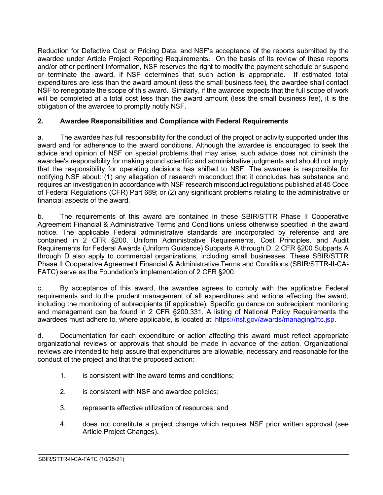Reduction for Defective Cost or Pricing Data, and NSF's acceptance of the reports submitted by the awardee under Article Project Reporting Requirements. On the basis of its review of these reports and/or other pertinent information, NSF reserves the right to modify the payment schedule or suspend or terminate the award, if NSF determines that such action is appropriate. If estimated total expenditures are less than the award amount (less the small business fee), the awardee shall contact NSF to renegotiate the scope of this award. Similarly, if the awardee expects that the full scope of work will be completed at a total cost less than the award amount (less the small business fee), it is the obligation of the awardee to promptly notify NSF.

## <span id="page-2-0"></span>**2. Awardee Responsibilities and Compliance with Federal Requirements**

a. The awardee has full responsibility for the conduct of the project or activity supported under this award and for adherence to the award conditions. Although the awardee is encouraged to seek the advice and opinion of NSF on special problems that may arise, such advice does not diminish the awardee's responsibility for making sound scientific and administrative judgments and should not imply that the responsibility for operating decisions has shifted to NSF. The awardee is responsible for notifying NSF about: (1) any allegation of research misconduct that it concludes has substance and requires an investigation in accordance with NSF research misconduct regulations published at 45 Code of Federal Regulations (CFR) Part 689; or (2) any significant problems relating to the administrative or financial aspects of the award.

b. The requirements of this award are contained in these SBIR/STTR Phase II Cooperative Agreement Financial & Administrative Terms and Conditions unless otherwise specified in the award notice. The applicable Federal administrative standards are incorporated by reference and are contained in 2 CFR §200, Uniform Administrative Requirements, Cost Principles, and Audit Requirements for Federal Awards (Uniform Guidance) Subparts A through D. 2 CFR §200 Subparts A through D also apply to commercial organizations, including small businesses. These SBIR/STTR Phase II Cooperative Agreement Financial & Administrative Terms and Conditions (SBIR/STTR-II-CA-FATC) serve as the Foundation's implementation of 2 CFR §200.

c. By acceptance of this award, the awardee agrees to comply with the applicable Federal requirements and to the prudent management of all expenditures and actions affecting the award, including the monitoring of subrecipients (if applicable). Specific guidance on subrecipient monitoring and management can be found in 2 CFR §200.331. A listing of National Policy Requirements the awardees must adhere to, where applicable, is located at: [https://nsf.gov/awards/managing/rtc.jsp.](https://nsf.gov/awards/managing/rtc.jsp)

d. Documentation for each expenditure or action affecting this award must reflect appropriate organizational reviews or approvals that should be made in advance of the action. Organizational reviews are intended to help assure that expenditures are allowable, necessary and reasonable for the conduct of the project and that the proposed action:

- 1. is consistent with the award terms and conditions;
- 2. is consistent with NSF and awardee policies;
- 3. represents effective utilization of resources; and
- 4. does not constitute a project change which requires NSF prior written approval (see Article Project Changes).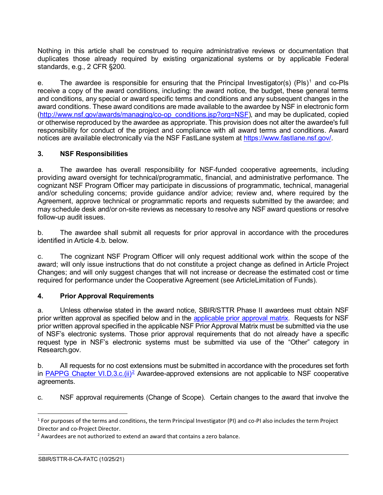Nothing in this article shall be construed to require administrative reviews or documentation that duplicates those already required by existing organizational systems or by applicable Federal standards, e.g., 2 CFR §200.

e. The awardee is responsible for ensuring that the Principal Investigator(s) (PIs)<sup>[1](#page-3-2)</sup> and co-PIs receive a copy of the award conditions, including: the award notice, the budget, these general terms and conditions, any special or award specific terms and conditions and any subsequent changes in the award conditions. These award conditions are made available to the awardee by NSF in electronic form [\(http://www.nsf.gov/awards/managing/co-op\\_conditions.jsp?org=NSF\)](http://www.nsf.gov/awards/managing/co-op_conditions.jsp?org=NSF), and may be duplicated, copied or otherwise reproduced by the awardee as appropriate. This provision does not alter the awardee's full responsibility for conduct of the project and compliance with all award terms and conditions. Award notices are available electronically via the NSF FastLane system at [https://www.fastlane.nsf.gov/.](https://www.fastlane.nsf.gov/)

## <span id="page-3-0"></span>**3. NSF Responsibilities**

a. The awardee has overall responsibility for NSF-funded cooperative agreements, including providing award oversight for technical/programmatic, financial, and administrative performance. The cognizant NSF Program Officer may participate in discussions of programmatic, technical, managerial and/or scheduling concerns; provide guidance and/or advice; review and, where required by the Agreement, approve technical or programmatic reports and requests submitted by the awardee; and may schedule desk and/or on-site reviews as necessary to resolve any NSF award questions or resolve follow-up audit issues.

b. The awardee shall submit all requests for prior approval in accordance with the procedures identified in Article 4 b. below

c. The cognizant NSF Program Officer will only request additional work within the scope of the award; will only issue instructions that do not constitute a project change as defined in Article Project Changes; and will only suggest changes that will not increase or decrease the estimated cost or time required for performance under the Cooperative Agreement (see ArticleLimitation of Funds).

## <span id="page-3-1"></span>**4. Prior Approval Requirements**

a. Unless otherwise stated in the award notice, SBIR/STTR Phase II awardees must obtain NSF prior written approval as specified below and in the [applicable prior approval matrix.](https://www.nsf.gov/bfa/dias/policy/priorapprovals/march18.pdf) Requests for NSF prior written approval specified in the applicable NSF Prior Approval Matrix must be submitted via the use of NSF's electronic systems. Those prior approval requirements that do not already have a specific request type in NSF's electronic systems must be submitted via use of the "Other" category in Research.gov.

b. All requests for no cost extensions must be submitted in accordance with the procedures set forth in PAPPG Chapter VI.D.3.c.(ii)<sup>2</sup> Awardee-approved extensions are not applicable to NSF cooperative agreements.

c. NSF approval requirements (Change of Scope). Certain changes to the award that involve the

<span id="page-3-2"></span> $1$  For purposes of the terms and conditions, the term Principal Investigator (PI) and co-PI also includes the term Project Director and co-Project Director.

<span id="page-3-3"></span><sup>&</sup>lt;sup>2</sup> Awardees are not authorized to extend an award that contains a zero balance.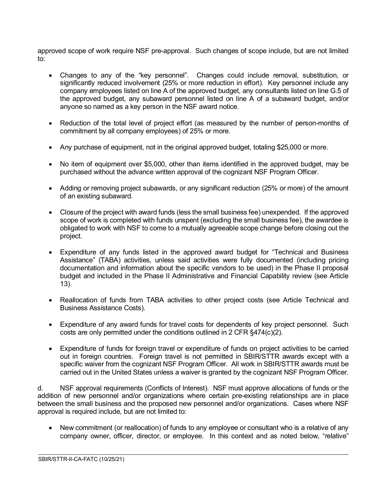approved scope of work require NSF pre-approval. Such changes of scope include, but are not limited to:

- Changes to any of the "key personnel". Changes could include removal, substitution, or significantly reduced involvement (25% or more reduction in effort). Key personnel include any company employees listed on line A of the approved budget, any consultants listed on line G.5 of the approved budget, any subaward personnel listed on line A of a subaward budget, and/or anyone so named as a key person in the NSF award notice.
- Reduction of the total level of project effort (as measured by the number of person-months of commitment by all company employees) of 25% or more.
- Any purchase of equipment, not in the original approved budget, totaling \$25,000 or more.
- No item of equipment over \$5,000, other than items identified in the approved budget, may be purchased without the advance written approval of the cognizant NSF Program Officer.
- Adding or removing project subawards, or any significant reduction (25% or more) of the amount of an existing subaward.
- Closure of the project with award funds (less the small business fee) unexpended. If the approved scope of work is completed with funds unspent (excluding the small business fee), the awardee is obligated to work with NSF to come to a mutually agreeable scope change before closing out the project.
- Expenditure of any funds listed in the approved award budget for "Technical and Business Assistance" (TABA) activities, unless said activities were fully documented (including pricing documentation and information about the specific vendors to be used) in the Phase II proposal budget and included in the Phase II Administrative and Financial Capability review (see Article 13).
- Reallocation of funds from TABA activities to other project costs (see Article Technical and Business Assistance Costs).
- Expenditure of any award funds for travel costs for dependents of key project personnel. Such costs are only permitted under the conditions outlined in 2 CFR §474(c)(2).
- Expenditure of funds for foreign travel or expenditure of funds on project activities to be carried out in foreign countries. Foreign travel is not permitted in SBIR/STTR awards except with a specific waiver from the cognizant NSF Program Officer. All work in SBIR/STTR awards must be carried out in the United States unless a waiver is granted by the cognizant NSF Program Officer.

d. NSF approval requirements (Conflicts of Interest). NSF must approve allocations of funds or the addition of new personnel and/or organizations where certain pre-existing relationships are in place between the small business and the proposed new personnel and/or organizations. Cases where NSF approval is required include, but are not limited to:

• New commitment (or reallocation) of funds to any employee or consultant who is a relative of any company owner, officer, director, or employee. In this context and as noted below, "relative"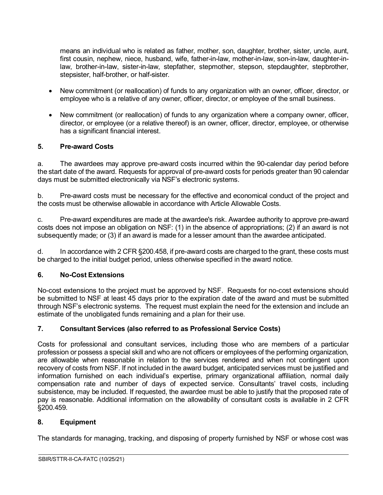means an individual who is related as father, mother, son, daughter, brother, sister, uncle, aunt, first cousin, nephew, niece, husband, wife, father-in-law, mother-in-law, son-in-law, daughter-inlaw, brother-in-law, sister-in-law, stepfather, stepmother, stepson, stepdaughter, stepbrother, stepsister, half-brother, or half-sister.

- New commitment (or reallocation) of funds to any organization with an owner, officer, director, or employee who is a relative of any owner, officer, director, or employee of the small business.
- New commitment (or reallocation) of funds to any organization where a company owner, officer, director, or employee (or a relative thereof) is an owner, officer, director, employee, or otherwise has a significant financial interest.

## <span id="page-5-0"></span>**5. Pre-award Costs**

a. The awardees may approve pre-award costs incurred within the 90-calendar day period before the start date of the award. Requests for approval of pre-award costs for periods greater than 90 calendar days must be submitted electronically via NSF's electronic systems.

b. Pre-award costs must be necessary for the effective and economical conduct of the project and the costs must be otherwise allowable in accordance with Article Allowable Costs.

c. Pre-award expenditures are made at the awardee's risk. Awardee authority to approve pre-award costs does not impose an obligation on NSF: (1) in the absence of appropriations; (2) if an award is not subsequently made; or (3) if an award is made for a lesser amount than the awardee anticipated.

d. In accordance with 2 CFR §200.458, if pre-award costs are charged to the grant, these costs must be charged to the initial budget period, unless otherwise specified in the award notice.

## <span id="page-5-1"></span>**6. No-Cost Extensions**

No-cost extensions to the project must be approved by NSF. Requests for no-cost extensions should be submitted to NSF at least 45 days prior to the expiration date of the award and must be submitted through NSF's electronic systems. The request must explain the need for the extension and include an estimate of the unobligated funds remaining and a plan for their use.

## <span id="page-5-2"></span>**7. Consultant Services (also referred to as Professional Service Costs)**

Costs for professional and consultant services, including those who are members of a particular profession or possess a special skill and who are not officers or employees of the performing organization, are allowable when reasonable in relation to the services rendered and when not contingent upon recovery of costs from NSF. If not included in the award budget, anticipated services must be justified and information furnished on each individual's expertise, primary organizational affiliation, normal daily compensation rate and number of days of expected service. Consultants' travel costs, including subsistence, may be included. If requested, the awardee must be able to justify that the proposed rate of pay is reasonable. Additional information on the allowability of consultant costs is available in 2 CFR §200.459.

#### <span id="page-5-3"></span>**8. Equipment**

The standards for managing, tracking, and disposing of property furnished by NSF or whose cost was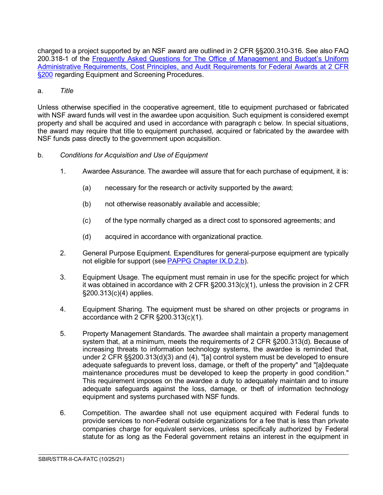charged to a project supported by an NSF award are outlined in 2 CFR §§200.310-316. See also FAQ 200.318-1 of the [Frequently Asked Questions for The Office of Management and Budget's Uniform](https://www.cfo.gov/assets/files/2CFR-FrequentlyAskedQuestions_2021050321.pdf)  [Administrative Requirements, Cost Principles, and Audit Requirements for Federal Awards at 2 CFR](https://www.cfo.gov/assets/files/2CFR-FrequentlyAskedQuestions_2021050321.pdf)  [§200](https://www.cfo.gov/assets/files/2CFR-FrequentlyAskedQuestions_2021050321.pdf) regarding Equipment and Screening Procedures.

#### a. *Title*

Unless otherwise specified in the cooperative agreement, title to equipment purchased or fabricated with NSF award funds will vest in the awardee upon acquisition. Such equipment is considered exempt property and shall be acquired and used in accordance with paragraph c below. In special situations, the award may require that title to equipment purchased, acquired or fabricated by the awardee with NSF funds pass directly to the government upon acquisition.

#### b. *Conditions for Acquisition and Use of Equipment*

- 1. Awardee Assurance. The awardee will assure that for each purchase of equipment, it is:
	- (a) necessary for the research or activity supported by the award;
	- (b) not otherwise reasonably available and accessible;
	- (c) of the type normally charged as a direct cost to sponsored agreements; and
	- (d) acquired in accordance with organizational practice.
- 2. General Purpose Equipment. Expenditures for general-purpose equipment are typically not eligible for support (se[e PAPPG Chapter IX.D.2.b\)](https://www.nsf.gov/pubs/policydocs/pappg22_1/pappg_9.jsp#IXD2).
- 3. Equipment Usage. The equipment must remain in use for the specific project for which it was obtained in accordance with 2 CFR §200.313(c)(1), unless the provision in 2 CFR §200.313(c)(4) applies.
- 4. Equipment Sharing. The equipment must be shared on other projects or programs in accordance with 2 CFR §200.313(c)(1).
- 5. Property Management Standards. The awardee shall maintain a property management system that, at a minimum, meets the requirements of 2 CFR §200.313(d). Because of increasing threats to information technology systems, the awardee is reminded that, under 2 CFR §§200.313(d)(3) and (4), "[a] control system must be developed to ensure adequate safeguards to prevent loss, damage, or theft of the property" and "[a]dequate maintenance procedures must be developed to keep the property in good condition." This requirement imposes on the awardee a duty to adequately maintain and to insure adequate safeguards against the loss, damage, or theft of information technology equipment and systems purchased with NSF funds.
- 6. Competition. The awardee shall not use equipment acquired with Federal funds to provide services to non-Federal outside organizations for a fee that is less than private companies charge for equivalent services, unless specifically authorized by Federal statute for as long as the Federal government retains an interest in the equipment in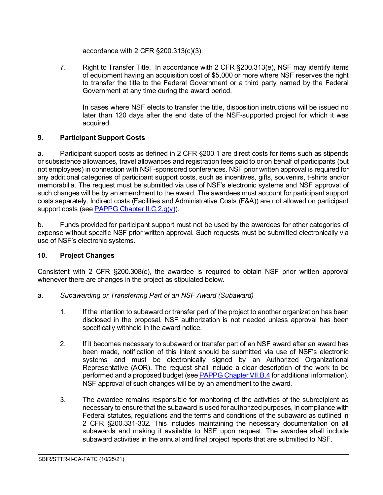accordance with 2 CFR §200.313(c)(3).

7. Right to Transfer Title. In accordance with 2 CFR §200.313(e), NSF may identify items of equipment having an acquisition cost of \$5,000 or more where NSF reserves the right to transfer the title to the Federal Government or a third party named by the Federal Government at any time during the award period.

In cases where NSF elects to transfer the title, disposition instructions will be issued no later than 120 days after the end date of the NSF-supported project for which it was acquired.

## <span id="page-7-0"></span>**9. Participant Support Costs**

a. Participant support costs as defined in 2 CFR §200.1 are direct costs for items such as stipends or subsistence allowances, travel allowances and registration fees paid to or on behalf of participants (but not employees) in connection with NSF-sponsored conferences. NSF prior written approval is required for any additional categories of participant support costs, such as incentives, gifts, souvenirs, t-shirts and/or memorabilia. The request must be submitted via use of NSF's electronic systems and NSF approval of such changes will be by an amendment to the award. The awardees must account for participant support costs separately. Indirect costs (Facilities and Administrative Costs (F&A)) are not allowed on participant support costs (see [PAPPG Chapter II.C.2.g\(v\)\)](https://www.nsf.gov/pubs/policydocs/pappg22_1/pappg_2.jsp#IIC2gv).

b. Funds provided for participant support must not be used by the awardees for other categories of expense without specific NSF prior written approval. Such requests must be submitted electronically via use of NSF's electronic systems.

## <span id="page-7-1"></span>**10. Project Changes**

Consistent with 2 CFR §200.308(c), the awardee is required to obtain NSF prior written approval whenever there are changes in the project as stipulated below.

- <span id="page-7-2"></span>a. *Subawarding or Transferring Part of an NSF Award (Subaward)*
	- 1. If the intention to subaward or transfer part of the project to another organization has been disclosed in the proposal, NSF authorization is not needed unless approval has been specifically withheld in the award notice.
	- 2. If it becomes necessary to subaward or transfer part of an NSF award after an award has been made, notification of this intent should be submitted via use of NSF's electronic systems and must be electronically signed by an Authorized Organizational Representative (AOR). The request shall include a clear description of the work to be performed and a proposed budget (see [PAPPG Chapter VII.B.4](https://www.nsf.gov/pubs/policydocs/pappg22_1/pappg_7.jsp#VIIB4) for additional information). NSF approval of such changes will be by an amendment to the award.
	- 3. The awardee remains responsible for monitoring of the activities of the subrecipient as necessary to ensure that the subaward is used for authorized purposes, in compliance with Federal statutes, regulations and the terms and conditions of the subaward as outlined in 2 CFR §200.331-332. This includes maintaining the necessary documentation on all subawards and making it available to NSF upon request. The awardee shall include subaward activities in the annual and final project reports that are submitted to NSF.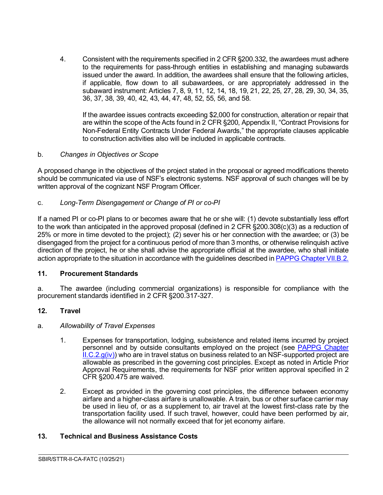4. Consistent with the requirements specified in 2 CFR §200.332, the awardees must adhere to the requirements for pass-through entities in establishing and managing subawards issued under the award. In addition, the awardees shall ensure that the following articles, if applicable, flow down to all subawardees, or are appropriately addressed in the subaward instrument: Articles 7, 8, 9, 11, 12, 14, 18, 19, 21, 22, 25, 27, 28, 29, 30, 34, 35, 36, 37, 38, 39, 40, 42, 43, 44, 47, 48, 52, 55, 56, and 58.

If the awardee issues contracts exceeding \$2,000 for construction, alteration or repair that are within the scope of the Acts found in 2 CFR §200, Appendix II, "Contract Provisions for Non-Federal Entity Contracts Under Federal Awards," the appropriate clauses applicable to construction activities also will be included in applicable contracts.

#### <span id="page-8-0"></span>b. *Changes in Objectives or Scope*

A proposed change in the objectives of the project stated in the proposal or agreed modifications thereto should be communicated via use of NSF's electronic systems. NSF approval of such changes will be by written approval of the cognizant NSF Program Officer.

#### <span id="page-8-1"></span>c. *Long-Term Disengagement or Change of PI or co-PI*

If a named PI or co-PI plans to or becomes aware that he or she will: (1) devote substantially less effort to the work than anticipated in the approved proposal (defined in 2 CFR §200.308(c)(3) as a reduction of 25% or more in time devoted to the project); (2) sever his or her connection with the awardee; or (3) be disengaged from the project for a continuous period of more than 3 months, or otherwise relinquish active direction of the project, he or she shall advise the appropriate official at the awardee, who shall initiate action appropriate to the situation in accordance with the guidelines described i[n PAPPG Chapter VII.B.2.](https://www.nsf.gov/pubs/policydocs/pappg22_1/pappg_7.jsp#VIIB2)

#### <span id="page-8-2"></span>**11. Procurement Standards**

a. The awardee (including commercial organizations) is responsible for compliance with the procurement standards identified in 2 CFR §200.317-327.

#### <span id="page-8-3"></span>**12. Travel**

#### a. *Allowability of Travel Expenses*

- 1. Expenses for transportation, lodging, subsistence and related items incurred by project personnel and by outside consultants employed on the project (see [PAPPG Chapter](https://www.nsf.gov/pubs/policydocs/pappg22_1/pappg_2.jsp#IIC2giv)   $ILC.2.g(iv)$  who are in travel status on business related to an NSF-supported project are allowable as prescribed in the governing cost principles. Except as noted in Article Prior Approval Requirements, the requirements for NSF prior written approval specified in 2 CFR §200.475 are waived.
- 2. Except as provided in the governing cost principles, the difference between economy airfare and a higher-class airfare is unallowable. A train, bus or other surface carrier may be used in lieu of, or as a supplement to, air travel at the lowest first-class rate by the transportation facility used. If such travel, however, could have been performed by air, the allowance will not normally exceed that for jet economy airfare.

 $\overline{a}$ 

#### <span id="page-8-4"></span>**13. Technical and Business Assistance Costs**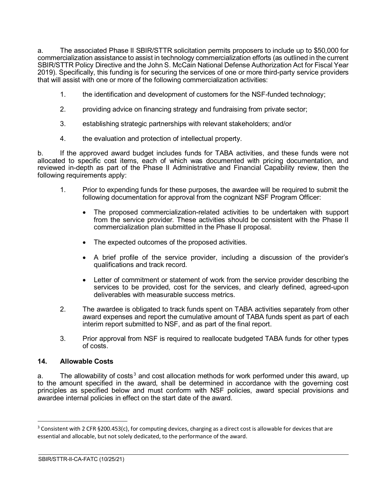a. The associated Phase II SBIR/STTR solicitation permits proposers to include up to \$50,000 for commercialization assistance to assist in technology commercialization efforts (as outlined in the current SBIR/STTR Policy Directive and the John S. McCain National Defense Authorization Act for Fiscal Year 2019). Specifically, this funding is for securing the services of one or more third-party service providers that will assist with one or more of the following commercialization activities:

- 1. the identification and development of customers for the NSF-funded technology;
- 2. providing advice on financing strategy and fundraising from private sector;
- 3. establishing strategic partnerships with relevant stakeholders; and/or
- 4. the evaluation and protection of intellectual property.

b. If the approved award budget includes funds for TABA activities, and these funds were not allocated to specific cost items, each of which was documented with pricing documentation, and reviewed in-depth as part of the Phase II Administrative and Financial Capability review, then the following requirements apply:

- 1. Prior to expending funds for these purposes, the awardee will be required to submit the following documentation for approval from the cognizant NSF Program Officer:
	- The proposed commercialization-related activities to be undertaken with support from the service provider. These activities should be consistent with the Phase II commercialization plan submitted in the Phase II proposal.
	- The expected outcomes of the proposed activities.
	- A brief profile of the service provider, including a discussion of the provider's qualifications and track record.
	- Letter of commitment or statement of work from the service provider describing the services to be provided, cost for the services, and clearly defined, agreed-upon deliverables with measurable success metrics.
- 2. The awardee is obligated to track funds spent on TABA activities separately from other award expenses and report the cumulative amount of TABA funds spent as part of each interim report submitted to NSF, and as part of the final report.
- 3. Prior approval from NSF is required to reallocate budgeted TABA funds for other types of costs.

 $\overline{a}$ 

#### <span id="page-9-0"></span>**14. Allowable Costs**

a. The allowability of costs<sup>[3](#page-9-1)</sup> and cost allocation methods for work performed under this award, up to the amount specified in the award, shall be determined in accordance with the governing cost principles as specified below and must conform with NSF policies, award special provisions and awardee internal policies in effect on the start date of the award.

<span id="page-9-1"></span> $3$  Consistent with 2 CFR §200.453(c), for computing devices, charging as a direct cost is allowable for devices that are essential and allocable, but not solely dedicated, to the performance of the award.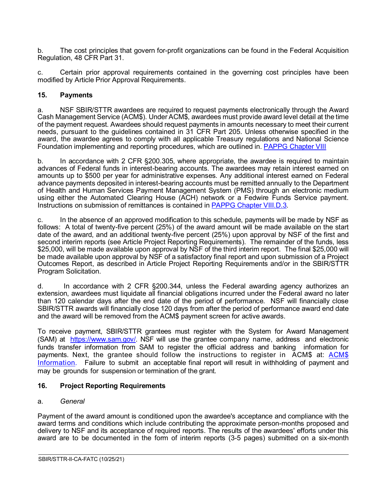b. The cost principles that govern for-profit organizations can be found in the Federal Acquisition Regulation, 48 CFR Part 31.

c. Certain prior approval requirements contained in the governing cost principles have been modified by Article Prior Approval Requirements.

#### <span id="page-10-0"></span>**15. Payments**

a. NSF SBIR/STTR awardees are required to request payments electronically through the Award Cash Management Service (ACM\$). Under ACM\$, awardees must provide award level detail at the time of the payment request. Awardees should request payments in amounts necessary to meet their current needs, pursuant to the guidelines contained in 31 CFR Part 205. Unless otherwise specified in the award, the awardee agrees to comply with all applicable Treasury regulations and National Science Foundation implementing and reporting procedures, which are outlined in. [PAPPG Chapter VIII](https://www.nsf.gov/pubs/policydocs/pappg22_1/pappg_8.jsp)

b. In accordance with 2 CFR §200.305, where appropriate, the awardee is required to maintain advances of Federal funds in interest-bearing accounts. The awardees may retain interest earned on amounts up to \$500 per year for administrative expenses. Any additional interest earned on Federal advance payments deposited in interest-bearing accounts must be remitted annually to the Department of Health and Human Services Payment Management System (PMS) through an electronic medium using either the Automated Clearing House (ACH) network or a Fedwire Funds Service payment. Instructions on submission of remittances is contained in [PAPPG Chapter VIII.D.3.](https://www.nsf.gov/pubs/policydocs/pappg22_1/pappg_8.jsp#VIIID3)

c. In the absence of an approved modification to this schedule, payments will be made by NSF as follows: A total of twenty-five percent (25%) of the award amount will be made available on the start date of the award, and an additional twenty-five percent (25%) upon approval by NSF of the first and second interim reports (see Article Project Reporting Requirements). The remainder of the funds, less \$25,000, will be made available upon approval by NSF of the third interim report. The final \$25,000 will be made available upon approval by NSF of a satisfactory final report and upon submission of a Project Outcomes Report, as described in Article Project Reporting Requirements and/or in the SBIR/STTR Program Solicitation.

d. In accordance with 2 CFR §200.344, unless the Federal awarding agency authorizes an extension, awardees must liquidate all financial obligations incurred under the Federal award no later than 120 calendar days after the end date of the period of performance. NSF will financially close SBIR/STTR awards will financially close 120 days from after the period of performance award end date and the award will be removed from the ACM\$ payment screen for active awards.

To receive payment, SBIR/STTR grantees must register with the System for Award Management (SAM) at [https://www.sam.gov/.](https://www.sam.gov/) NSF will use the grantee company name, address and electronic funds transfer information from SAM to register the official address and banking information for payments. Next, the grantee should follow the instructions to register in ACM\$ at: [ACM\\$](https://www.research.gov/research-portal/appmanager/base/desktop?_nfpb=true&_pageLabel=research_node_display&_nodePath=/researchGov/Service/Desktop/InstitutionAndUserManagement.html) [Information.](https://www.research.gov/research-portal/appmanager/base/desktop?_nfpb=true&_pageLabel=research_node_display&_nodePath=/researchGov/Service/Desktop/InstitutionAndUserManagement.html) Failure to submit an acceptable final report will result in withholding of payment and may be grounds for suspension or termination of the grant.

#### <span id="page-10-1"></span>**16. Project Reporting Requirements**

#### <span id="page-10-2"></span>a. *General*

Payment of the award amount is conditioned upon the awardee's acceptance and compliance with the award terms and conditions which include contributing the approximate person-months proposed and delivery to NSF and its acceptance of required reports. The results of the awardees' efforts under this award are to be documented in the form of interim reports (3-5 pages) submitted on a six-month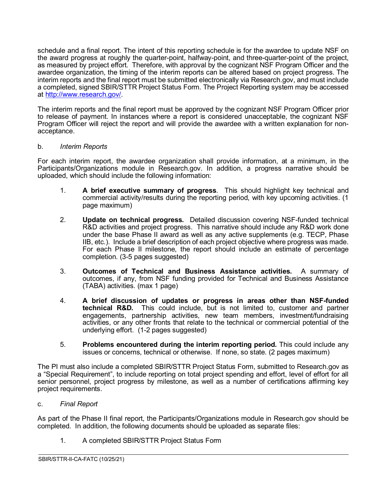schedule and a final report. The intent of this reporting schedule is for the awardee to update NSF on the award progress at roughly the quarter-point, halfway-point, and three-quarter-point of the project, as measured by project effort. Therefore, with approval by the cognizant NSF Program Officer and the awardee organization, the timing of the interim reports can be altered based on project progress. The interim reports and the final report must be submitted electronically via Research.gov, and must include a completed, signed SBIR/STTR Project Status Form. The Project Reporting system may be accessed at [http://www.research.gov/.](http://www.research.gov/)

The interim reports and the final report must be approved by the cognizant NSF Program Officer prior to release of payment. In instances where a report is considered unacceptable, the cognizant NSF Program Officer will reject the report and will provide the awardee with a written explanation for nonacceptance.

#### <span id="page-11-0"></span>b. *Interim Reports*

For each interim report, the awardee organization shall provide information, at a minimum, in the Participants/Organizations module in Research.gov. In addition, a progress narrative should be uploaded, which should include the following information:

- 1. **A brief executive summary of progress**. This should highlight key technical and commercial activity/results during the reporting period, with key upcoming activities. (1 page maximum)
- 2. **Update on technical progress.** Detailed discussion covering NSF-funded technical R&D activities and project progress. This narrative should include any R&D work done under the base Phase II award as well as any active supplements (e.g. TECP, Phase IIB, etc.). Include a brief description of each project objective where progress was made. For each Phase II milestone, the report should include an estimate of percentage completion. (3-5 pages suggested)
- 3. **Outcomes of Technical and Business Assistance activities.** A summary of outcomes, if any, from NSF funding provided for Technical and Business Assistance (TABA) activities. (max 1 page)
- 4. **A brief discussion of updates or progress in areas other than NSF-funded technical R&D.** This could include, but is not limited to, customer and partner engagements, partnership activities, new team members, investment/fundraising activities, or any other fronts that relate to the technical or commercial potential of the underlying effort. (1-2 pages suggested)
- 5. **Problems encountered during the interim reporting period.** This could include any issues or concerns, technical or otherwise. If none, so state. (2 pages maximum)

The PI must also include a completed SBIR/STTR Project Status Form, submitted to Research.gov as a "Special Requirement", to include reporting on total project spending and effort, level of effort for all senior personnel, project progress by milestone, as well as a number of certifications affirming key project requirements.

<span id="page-11-1"></span>c. *Final Report*

As part of the Phase II final report, the Participants/Organizations module in Research.gov should be completed. In addition, the following documents should be uploaded as separate files:

 $\overline{a}$ 

1. A completed SBIR/STTR Project Status Form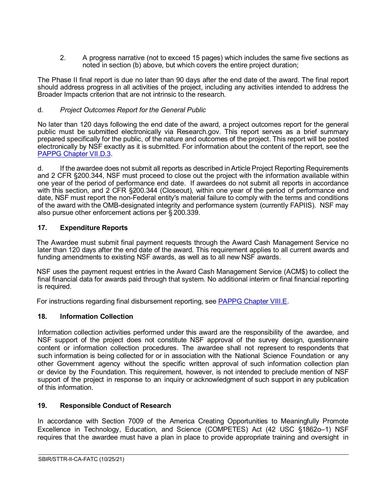2. A progress narrative (not to exceed 15 pages) which includes the same five sections as noted in section (b) above, but which covers the entire project duration;

The Phase II final report is due no later than 90 days after the end date of the award. The final report should address progress in all activities of the project, including any activities intended to address the Broader Impacts criterion that are not intrinsic to the research.

## <span id="page-12-0"></span>d. *Project Outcomes Report for the General Public*

No later than 120 days following the end date of the award, a project outcomes report for the general public must be submitted electronically via Research.gov. This report serves as a brief summary prepared specifically for the public, of the nature and outcomes of the project. This report will be posted electronically by NSF exactly as it is submitted. For information about the content of the report, see the [PAPPG Chapter VII.D.3.](https://www.nsf.gov/pubs/policydocs/pappg22_1/pappg_7.jsp#VIID3)

d. If the awardee does not submit all reports as described in Article Project Reporting Requirements and 2 CFR §200.344, NSF must proceed to close out the project with the information available within one year of the period of performance end date. If awardees do not submit all reports in accordance with this section, and 2 CFR §200.344 (Closeout), within one year of the period of performance end date, NSF must report the non-Federal entity's material failure to comply with the terms and conditions of the award with the OMB-designated integrity and performance system (currently FAPIIS). NSF may also pursue other enforcement actions per § 200.339.

## <span id="page-12-1"></span>**17. Expenditure Reports**

The Awardee must submit final payment requests through the Award Cash Management Service no later than 120 days after the end date of the award. This requirement applies to all current awards and funding amendments to existing NSF awards, as well as to all new NSF awards.

NSF uses the payment request entries in the Award Cash Management Service (ACM\$) to collect the final financial data for awards paid through that system. No additional interim or final financial reporting is required.

For instructions regarding final disbursement reporting, see [PAPPG Chapter VIII.E.](https://nsf.gov/pubs/policydocs/pappg22_1/pappg_8.jsp#VIIIE)

## <span id="page-12-2"></span>**18. Information Collection**

Information collection activities performed under this award are the responsibility of the awardee, and NSF support of the project does not constitute NSF approval of the survey design, questionnaire content or information collection procedures. The awardee shall not represent to respondents that such information is being collected for or in association with the National Science Foundation or any other Government agency without the specific written approval of such information collection plan or device by the Foundation. This requirement, however, is not intended to preclude mention of NSF support of the project in response to an inquiry or acknowledgment of such support in any publication of this information.

## <span id="page-12-3"></span>**19. Responsible Conduct of Research**

In accordance with Section 7009 of the America Creating Opportunities to Meaningfully Promote Excellence in Technology, Education, and Science (COMPETES) Act (42 USC §1862o–1) NSF requires that the awardee must have a plan in place to provide appropriate training and oversight in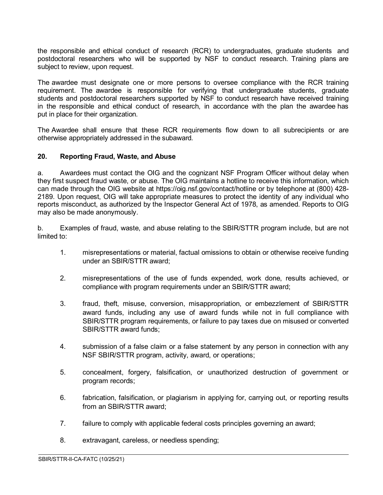the responsible and ethical conduct of research (RCR) to undergraduates, graduate students and postdoctoral researchers who will be supported by NSF to conduct research. Training plans are subject to review, upon request.

The awardee must designate one or more persons to oversee compliance with the RCR training requirement. The awardee is responsible for verifying that undergraduate students, graduate students and postdoctoral researchers supported by NSF to conduct research have received training in the responsible and ethical conduct of research, in accordance with the plan the awardee has put in place for their organization.

The Awardee shall ensure that these RCR requirements flow down to all subrecipients or are otherwise appropriately addressed in the subaward.

#### <span id="page-13-0"></span>**20. Reporting Fraud, Waste, and Abuse**

a. Awardees must contact the OIG and the cognizant NSF Program Officer without delay when they first suspect fraud waste, or abuse. The OIG maintains a hotline to receive this information, which can made through the OIG website at https://oig.nsf.gov/contact/hotline or by telephone at (800) 428- 2189. Upon request, OIG will take appropriate measures to protect the identity of any individual who reports misconduct, as authorized by the Inspector General Act of 1978, as amended. Reports to OIG may also be made anonymously.

b. Examples of fraud, waste, and abuse relating to the SBIR/STTR program include, but are not limited to:

- 1. misrepresentations or material, factual omissions to obtain or otherwise receive funding under an SBIR/STTR award;
- 2. misrepresentations of the use of funds expended, work done, results achieved, or compliance with program requirements under an SBIR/STTR award;
- 3. fraud, theft, misuse, conversion, misappropriation, or embezzlement of SBIR/STTR award funds, including any use of award funds while not in full compliance with SBIR/STTR program requirements, or failure to pay taxes due on misused or converted SBIR/STTR award funds;
- 4. submission of a false claim or a false statement by any person in connection with any NSF SBIR/STTR program, activity, award, or operations;
- 5. concealment, forgery, falsification, or unauthorized destruction of government or program records;
- 6. fabrication, falsification, or plagiarism in applying for, carrying out, or reporting results from an SBIR/STTR award;

- 7. failure to comply with applicable federal costs principles governing an award;
- 8. extravagant, careless, or needless spending;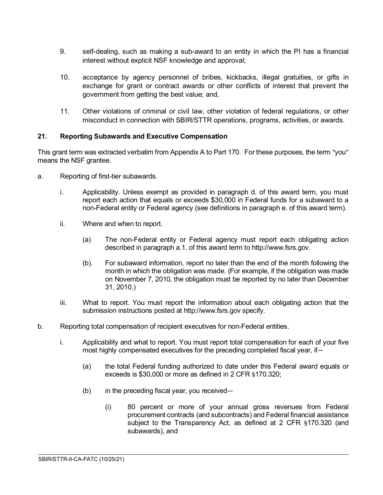- 9. self-dealing, such as making a sub-award to an entity in which the PI has a financial interest without explicit NSF knowledge and approval;
- 10. acceptance by agency personnel of bribes, kickbacks, illegal gratuities, or gifts in exchange for grant or contract awards or other conflicts of interest that prevent the government from getting the best value; and,
- 11. Other violations of criminal or civil law, other violation of federal regulations, or other misconduct in connection with SBIR/STTR operations, programs, activities, or awards.

## <span id="page-14-0"></span>**21. Reporting Subawards and Executive Compensation**

This grant term was extracted verbatim from Appendix A to Part 170. For these purposes, the term "you" means the NSF grantee.

- a. Reporting of first-tier subawards.
	- i. Applicability. Unless exempt as provided in paragraph d. of this award term, you must report each action that equals or exceeds \$30,000 in Federal funds for a subaward to a non-Federal entity or Federal agency (see definitions in paragraph e. of this award term).
	- ii. Where and when to report.
		- (a) The non-Federal entity or Federal agency must report each obligating action described in paragraph a.1. of this award term to http://www.fsrs.gov.
		- (b). For subaward information, report no later than the end of the month following the month in which the obligation was made. (For example, if the obligation was made on November 7, 2010, the obligation must be reported by no later than December 31, 2010.)
	- iii. What to report. You must report the information about each obligating action that the submission instructions posted at http://www.fsrs.gov specify.
- b. Reporting total compensation of recipient executives for non-Federal entities.
	- i. Applicability and what to report. You must report total compensation for each of your five most highly compensated executives for the preceding completed fiscal year, if—
		- (a) the total Federal funding authorized to date under this Federal award equals or exceeds is \$30,000 or more as defined in 2 CFR §170.320;
		- (b) in the preceding fiscal year, you received—
			- (i) 80 percent or more of your annual gross revenues from Federal procurement contracts (and subcontracts) and Federal financial assistance subject to the Transparency Act, as defined at 2 CFR §170.320 (and subawards), and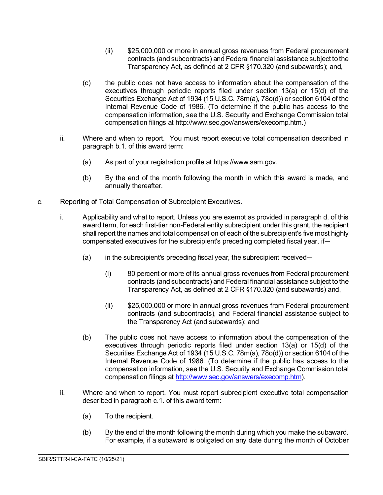- (ii) \$25,000,000 or more in annual gross revenues from Federal procurement contracts (and subcontracts) and Federal financial assistance subject to the Transparency Act, as defined at 2 CFR §170.320 (and subawards); and,
- (c) the public does not have access to information about the compensation of the executives through periodic reports filed under section 13(a) or 15(d) of the Securities Exchange Act of 1934 (15 U.S.C. 78m(a), 78o(d)) or section 6104 of the Internal Revenue Code of 1986. (To determine if the public has access to the compensation information, see the U.S. Security and Exchange Commission total compensation filings at http://www.sec.gov/answers/execomp.htm.)
- ii. Where and when to report. You must report executive total compensation described in paragraph b.1. of this award term:
	- (a) As part of your registration profile at https://www.sam.gov.
	- (b) By the end of the month following the month in which this award is made, and annually thereafter.
- c. Reporting of Total Compensation of Subrecipient Executives.
	- i. Applicability and what to report. Unless you are exempt as provided in paragraph d. of this award term, for each first-tier non-Federal entity subrecipient under this grant, the recipient shall report the names and total compensation of each of the subrecipient's five most highly compensated executives for the subrecipient's preceding completed fiscal year, if—
		- (a) in the subrecipient's preceding fiscal year, the subrecipient received—
			- (i) 80 percent or more of its annual gross revenues from Federal procurement contracts (and subcontracts) and Federal financial assistance subject to the Transparency Act, as defined at 2 CFR §170.320 (and subawards) and,
			- (ii) \$25,000,000 or more in annual gross revenues from Federal procurement contracts (and subcontracts), and Federal financial assistance subject to the Transparency Act (and subawards); and
		- (b) The public does not have access to information about the compensation of the executives through periodic reports filed under section 13(a) or 15(d) of the Securities Exchange Act of 1934 (15 U.S.C. 78m(a), 78o(d)) or section 6104 of the Internal Revenue Code of 1986. (To determine if the public has access to the compensation information, see the U.S. Security and Exchange Commission total compensation filings at [http://www.sec.gov/answers/execomp.htm\)](http://www.sec.gov/answers/execomp.htm).
	- ii. Where and when to report. You must report subrecipient executive total compensation described in paragraph c.1. of this award term:
		- (a) To the recipient.
		- (b) By the end of the month following the month during which you make the subaward. For example, if a subaward is obligated on any date during the month of October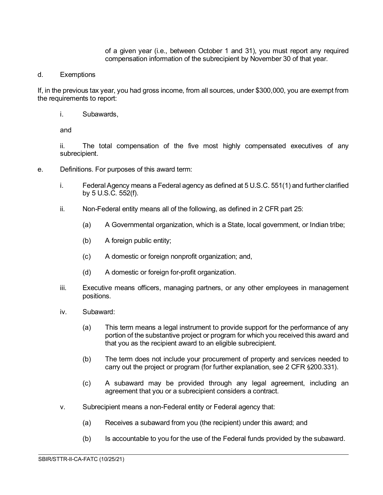of a given year (i.e., between October 1 and 31), you must report any required compensation information of the subrecipient by November 30 of that year.

d. Exemptions

If, in the previous tax year, you had gross income, from all sources, under \$300,000, you are exempt from the requirements to report:

i. Subawards,

and

ii. The total compensation of the five most highly compensated executives of any subrecipient.

- e. Definitions. For purposes of this award term:
	- i. Federal Agency means a Federal agency as defined at 5 U.S.C. 551(1) and further clarified by 5 U.S.C. 552(f).
	- ii. Non-Federal entity means all of the following, as defined in 2 CFR part 25:
		- (a) A Governmental organization, which is a State, local government, or Indian tribe;
		- (b) A foreign public entity;
		- (c) A domestic or foreign nonprofit organization; and,
		- (d) A domestic or foreign for-profit organization.
	- iii. Executive means officers, managing partners, or any other employees in management positions.
	- iv. Subaward:
		- (a) This term means a legal instrument to provide support for the performance of any portion of the substantive project or program for which you received this award and that you as the recipient award to an eligible subrecipient.
		- (b) The term does not include your procurement of property and services needed to carry out the project or program (for further explanation, see 2 CFR §200.331).
		- (c) A subaward may be provided through any legal agreement, including an agreement that you or a subrecipient considers a contract.
	- v. Subrecipient means a non-Federal entity or Federal agency that:
		- (a) Receives a subaward from you (the recipient) under this award; and
		- (b) Is accountable to you for the use of the Federal funds provided by the subaward.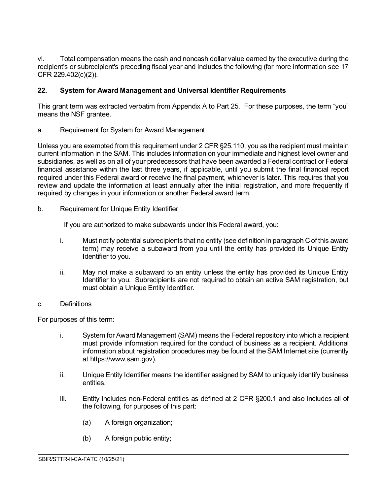vi. Total compensation means the cash and noncash dollar value earned by the executive during the recipient's or subrecipient's preceding fiscal year and includes the following (for more information see 17 CFR 229.402(c)(2)).

## <span id="page-17-0"></span>**22. System for Award Management and Universal Identifier Requirements**

This grant term was extracted verbatim from Appendix A to Part 25. For these purposes, the term "you" means the NSF grantee.

a. Requirement for System for Award Management

Unless you are exempted from this requirement under 2 CFR §25.110, you as the recipient must maintain current information in the SAM. This includes information on your immediate and highest level owner and subsidiaries, as well as on all of your predecessors that have been awarded a Federal contract or Federal financial assistance within the last three years, if applicable, until you submit the final financial report required under this Federal award or receive the final payment, whichever is later. This requires that you review and update the information at least annually after the initial registration, and more frequently if required by changes in your information or another Federal award term.

b. Requirement for Unique Entity Identifier

If you are authorized to make subawards under this Federal award, you:

- i. Must notify potential subrecipients that no entity (see definition in paragraph C of this award term) may receive a subaward from you until the entity has provided its Unique Entity Identifier to you.
- ii. May not make a subaward to an entity unless the entity has provided its Unique Entity Identifier to you. Subrecipients are not required to obtain an active SAM registration, but must obtain a Unique Entity Identifier.
- c. Definitions

For purposes of this term:

- i. System for Award Management (SAM) means the Federal repository into which a recipient must provide information required for the conduct of business as a recipient. Additional information about registration procedures may be found at the SAM Internet site (currently at https://www.sam.gov).
- ii. Unique Entity Identifier means the identifier assigned by SAM to uniquely identify business entities.
- iii. Entity includes non-Federal entities as defined at 2 CFR §200.1 and also includes all of the following, for purposes of this part:

- (a) A foreign organization;
- (b) A foreign public entity;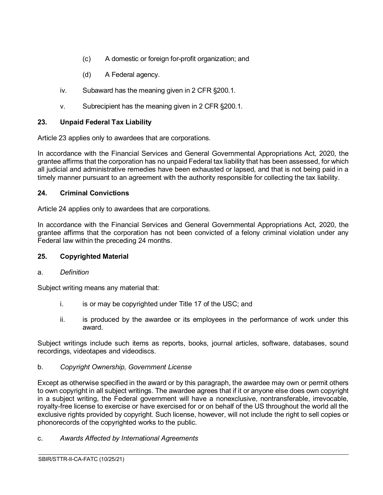- (c) A domestic or foreign for-profit organization; and
- (d) A Federal agency.
- iv. Subaward has the meaning given in 2 CFR §200.1.
- v. Subrecipient has the meaning given in 2 CFR §200.1.

## <span id="page-18-0"></span>**23. Unpaid Federal Tax Liability**

Article 23 applies only to awardees that are corporations.

In accordance with the Financial Services and General Governmental Appropriations Act, 2020, the grantee affirms that the corporation has no unpaid Federal tax liability that has been assessed, for which all judicial and administrative remedies have been exhausted or lapsed, and that is not being paid in a timely manner pursuant to an agreement with the authority responsible for collecting the tax liability.

#### <span id="page-18-1"></span>**24. Criminal Convictions**

Article 24 applies only to awardees that are corporations.

In accordance with the Financial Services and General Governmental Appropriations Act, 2020, the grantee affirms that the corporation has not been convicted of a felony criminal violation under any Federal law within the preceding 24 months.

## <span id="page-18-2"></span>**25. Copyrighted Material**

#### a. *Definition*

Subject writing means any material that:

- i. is or may be copyrighted under Title 17 of the USC; and
- ii. is produced by the awardee or its employees in the performance of work under this award.

Subject writings include such items as reports, books, journal articles, software, databases, sound recordings, videotapes and videodiscs.

#### b. *Copyright Ownership, Government License*

Except as otherwise specified in the award or by this paragraph, the awardee may own or permit others to own copyright in all subject writings. The awardee agrees that if it or anyone else does own copyright in a subject writing, the Federal government will have a nonexclusive, nontransferable, irrevocable, royalty-free license to exercise or have exercised for or on behalf of the US throughout the world all the exclusive rights provided by copyright. Such license, however, will not include the right to sell copies or phonorecords of the copyrighted works to the public.

 $\overline{a}$ 

c. *Awards Affected by International Agreements*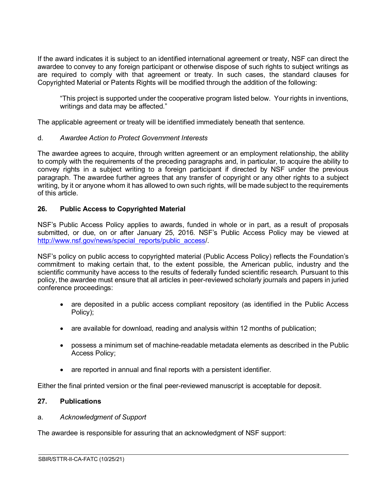If the award indicates it is subject to an identified international agreement or treaty, NSF can direct the awardee to convey to any foreign participant or otherwise dispose of such rights to subject writings as are required to comply with that agreement or treaty. In such cases, the standard clauses for Copyrighted Material or Patents Rights will be modified through the addition of the following:

"This project is supported under the cooperative program listed below. Your rights in inventions, writings and data may be affected."

The applicable agreement or treaty will be identified immediately beneath that sentence.

#### d. *Awardee Action to Protect Government Interests*

The awardee agrees to acquire, through written agreement or an employment relationship, the ability to comply with the requirements of the preceding paragraphs and, in particular, to acquire the ability to convey rights in a subject writing to a foreign participant if directed by NSF under the previous paragraph. The awardee further agrees that any transfer of copyright or any other rights to a subject writing, by it or anyone whom it has allowed to own such rights, will be made subject to the requirements of this article.

#### <span id="page-19-0"></span>**26. Public Access to Copyrighted Material**

NSF's Public Access Policy applies to awards, funded in whole or in part, as a result of proposals submitted, or due, on or after January 25, 2016. NSF's Public Access Policy may be viewed at [http://www.nsf.gov/news/special\\_reports/public\\_access/](http://www.nsf.gov/news/special_reports/public_access).

NSF's policy on public access to copyrighted material (Public Access Policy) reflects the Foundation's commitment to making certain that, to the extent possible, the American public, industry and the scientific community have access to the results of federally funded scientific research. Pursuant to this policy, the awardee must ensure that all articles in peer-reviewed scholarly journals and papers in juried conference proceedings:

- are deposited in a public access compliant repository (as identified in the Public Access Policy);
- are available for download, reading and analysis within 12 months of publication;
- possess a minimum set of machine-readable metadata elements as described in the Public Access Policy;

 $\overline{a}$ 

• are reported in annual and final reports with a persistent identifier.

Either the final printed version or the final peer-reviewed manuscript is acceptable for deposit.

## <span id="page-19-1"></span>**27. Publications**

#### a. *Acknowledgment of Support*

The awardee is responsible for assuring that an acknowledgment of NSF support: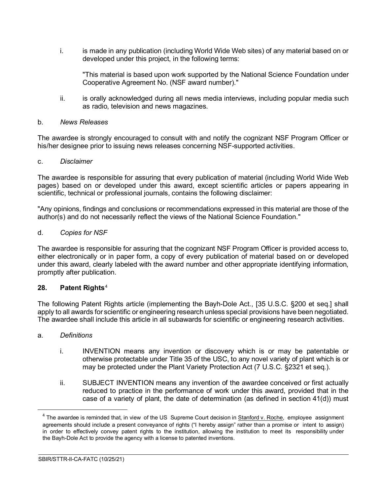i. is made in any publication (including World Wide Web sites) of any material based on or developed under this project, in the following terms:

"This material is based upon work supported by the National Science Foundation under Cooperative Agreement No. (NSF award number)."

ii. is orally acknowledged during all news media interviews, including popular media such as radio, television and news magazines.

#### b. *News Releases*

The awardee is strongly encouraged to consult with and notify the cognizant NSF Program Officer or his/her designee prior to issuing news releases concerning NSF-supported activities.

#### c. *Disclaimer*

The awardee is responsible for assuring that every publication of material (including World Wide Web pages) based on or developed under this award, except scientific articles or papers appearing in scientific, technical or professional journals, contains the following disclaimer:

"Any opinions, findings and conclusions or recommendations expressed in this material are those of the author(s) and do not necessarily reflect the views of the National Science Foundation."

#### d. *Copies for NSF*

The awardee is responsible for assuring that the cognizant NSF Program Officer is provided access to, either electronically or in paper form, a copy of every publication of material based on or developed under this award, clearly labeled with the award number and other appropriate identifying information, promptly after publication.

#### <span id="page-20-0"></span>**28. Patent Rights**[4](#page-20-1)

The following Patent Rights article (implementing the Bayh-Dole Act., [35 U.S.C. §200 et seq.] shall apply to all awards for scientific or engineering research unless special provisions have been negotiated. The awardee shall include this article in all subawards for scientific or engineering research activities.

#### a. *Definitions*

- i. INVENTION means any invention or discovery which is or may be patentable or otherwise protectable under Title 35 of the USC, to any novel variety of plant which is or may be protected under the Plant Variety Protection Act (7 U.S.C. §2321 et seq.).
- ii. SUBJECT INVENTION means any invention of the awardee conceived or first actually reduced to practice in the performance of work under this award, provided that in the case of a variety of plant, the date of determination (as defined in section 41(d)) must

<span id="page-20-1"></span> $4$  The awardee is reminded that, in view of the US Supreme Court decision in Stanford v. Roche, employee assignment agreements should include a present conveyance of rights ("I hereby assign" rather than a promise or intent to assign) in order to effectively convey patent rights to the institution, allowing the institution to meet its responsibility under the Bayh-Dole Act to provide the agency with a license to patented inventions.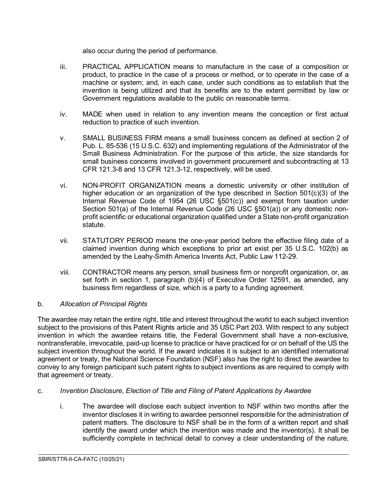also occur during the period of performance.

- iii. PRACTICAL APPLICATION means to manufacture in the case of a composition or product, to practice in the case of a process or method, or to operate in the case of a machine or system; and, in each case, under such conditions as to establish that the invention is being utilized and that its benefits are to the extent permitted by law or Government regulations available to the public on reasonable terms.
- iv. MADE when used in relation to any invention means the conception or first actual reduction to practice of such invention.
- v. SMALL BUSINESS FIRM means a small business concern as defined at section 2 of Pub. L. 85-536 (15 U.S.C. 632) and implementing regulations of the Administrator of the Small Business Administration. For the purpose of this article, the size standards for small business concerns involved in government procurement and subcontracting at 13 CFR 121.3-8 and 13 CFR 121.3-12, respectively, will be used.
- vi. NON-PROFIT ORGANIZATION means a domestic university or other institution of higher education or an organization of the type described in Section  $501(c)(3)$  of the Internal Revenue Code of 1954 (26 USC §501(c)) and exempt from taxation under Section 501(a) of the Internal Revenue Code (26 USC §501(a)) or any domestic nonprofit scientific or educational organization qualified under a State non-profit organization statute.
- vii. STATUTORY PERIOD means the one-year period before the effective filing date of a claimed invention during which exceptions to prior art exist per 35 U.S.C. 102(b) as amended by the Leahy-Smith America Invents Act, Public Law 112-29.
- viii. CONTRACTOR means any person, small business firm or nonprofit organization, or, as set forth in section 1, paragraph (b)(4) of Executive Order 12591, as amended, any business firm regardless of size, which is a party to a funding agreement.

## b. *Allocation of Principal Rights*

The awardee may retain the entire right, title and interest throughout the world to each subject invention subject to the provisions of this Patent Rights article and 35 USC Part 203. With respect to any subject invention in which the awardee retains title, the Federal Government shall have a non-exclusive, nontransferable, irrevocable, paid-up license to practice or have practiced for or on behalf of the US the subject invention throughout the world. If the award indicates it is subject to an identified international agreement or treaty, the National Science Foundation (NSF) also has the right to direct the awardee to convey to any foreign participant such patent rights to subject inventions as are required to comply with that agreement or treaty.

## c. *Invention Disclosure, Election of Title and Filing of Patent Applications by Awardee*

i. The awardee will disclose each subject invention to NSF within two months after the inventor discloses it in writing to awardee personnel responsible for the administration of patent matters. The disclosure to NSF shall be in the form of a written report and shall identify the award under which the invention was made and the inventor(s). It shall be sufficiently complete in technical detail to convey a clear understanding of the nature,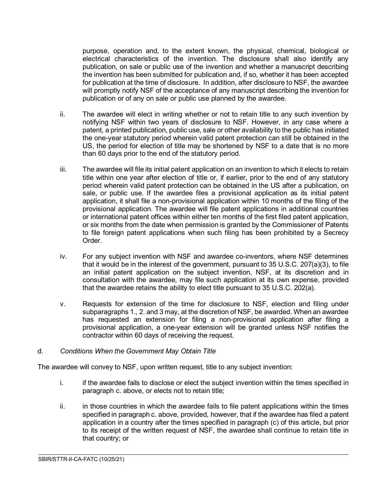purpose, operation and, to the extent known, the physical, chemical, biological or electrical characteristics of the invention. The disclosure shall also identify any publication, on sale or public use of the invention and whether a manuscript describing the invention has been submitted for publication and, if so, whether it has been accepted for publication at the time of disclosure. In addition, after disclosure to NSF, the awardee will promptly notify NSF of the acceptance of any manuscript describing the invention for publication or of any on sale or public use planned by the awardee.

- ii. The awardee will elect in writing whether or not to retain title to any such invention by notifying NSF within two years of disclosure to NSF. However, in any case where a patent, a printed publication, public use, sale or other availability to the public has initiated the one-year statutory period wherein valid patent protection can still be obtained in the US, the period for election of title may be shortened by NSF to a date that is no more than 60 days prior to the end of the statutory period.
- iii. The awardee will file its initial patent application on an invention to which it elects to retain title within one year after election of title or, if earlier, prior to the end of any statutory period wherein valid patent protection can be obtained in the US after a publication, on sale, or public use. If the awardee files a provisional application as its initial patent application, it shall file a non-provisional application within 10 months of the filing of the provisional application. The awardee will file patent applications in additional countries or international patent offices within either ten months of the first filed patent application, or six months from the date when permission is granted by the Commissioner of Patents to file foreign patent applications when such filing has been prohibited by a Secrecy **Order**
- iv. For any subject invention with NSF and awardee co-inventors, where NSF determines that it would be in the interest of the government, pursuant to 35 U.S.C. 207(a)(3), to file an initial patent application on the subject invention, NSF, at its discretion and in consultation with the awardee, may file such application at its own expense, provided that the awardee retains the ability to elect title pursuant to 35 U.S.C. 202(a).
- v. Requests for extension of the time for disclosure to NSF, election and filing under subparagraphs 1., 2. and 3 may, at the discretion of NSF, be awarded. When an awardee has requested an extension for filing a non-provisional application after filing a provisional application, a one-year extension will be granted unless NSF notifies the contractor within 60 days of receiving the request.

#### d. *Conditions When the Government May Obtain Title*

The awardee will convey to NSF, upon written request, title to any subject invention:

- i. if the awardee fails to disclose or elect the subject invention within the times specified in paragraph c. above, or elects not to retain title;
- ii. in those countries in which the awardee fails to file patent applications within the times specified in paragraph c. above, provided, however, that if the awardee has filed a patent application in a country after the times specified in paragraph (c) of this article, but prior to its receipt of the written request of NSF, the awardee shall continue to retain title in that country; or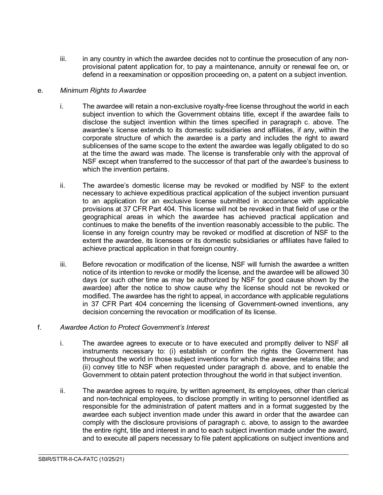iii. in any country in which the awardee decides not to continue the prosecution of any nonprovisional patent application for, to pay a maintenance, annuity or renewal fee on, or defend in a reexamination or opposition proceeding on, a patent on a subject invention.

#### e. *Minimum Rights to Awardee*

- i. The awardee will retain a non-exclusive royalty-free license throughout the world in each subject invention to which the Government obtains title, except if the awardee fails to disclose the subject invention within the times specified in paragraph c. above. The awardee's license extends to its domestic subsidiaries and affiliates, if any, within the corporate structure of which the awardee is a party and includes the right to award sublicenses of the same scope to the extent the awardee was legally obligated to do so at the time the award was made. The license is transferable only with the approval of NSF except when transferred to the successor of that part of the awardee's business to which the invention pertains.
- ii. The awardee's domestic license may be revoked or modified by NSF to the extent necessary to achieve expeditious practical application of the subject invention pursuant to an application for an exclusive license submitted in accordance with applicable provisions at 37 CFR Part 404. This license will not be revoked in that field of use or the geographical areas in which the awardee has achieved practical application and continues to make the benefits of the invention reasonably accessible to the public. The license in any foreign country may be revoked or modified at discretion of NSF to the extent the awardee, its licensees or its domestic subsidiaries or affiliates have failed to achieve practical application in that foreign country.
- iii. Before revocation or modification of the license, NSF will furnish the awardee a written notice of its intention to revoke or modify the license, and the awardee will be allowed 30 days (or such other time as may be authorized by NSF for good cause shown by the awardee) after the notice to show cause why the license should not be revoked or modified. The awardee has the right to appeal, in accordance with applicable regulations in 37 CFR Part 404 concerning the licensing of Government-owned inventions, any decision concerning the revocation or modification of its license.

#### f. *Awardee Action to Protect Government's Interest*

- i. The awardee agrees to execute or to have executed and promptly deliver to NSF all instruments necessary to: (i) establish or confirm the rights the Government has throughout the world in those subject inventions for which the awardee retains title; and (ii) convey title to NSF when requested under paragraph d. above, and to enable the Government to obtain patent protection throughout the world in that subject invention.
- ii. The awardee agrees to require, by written agreement, its employees, other than clerical and non-technical employees, to disclose promptly in writing to personnel identified as responsible for the administration of patent matters and in a format suggested by the awardee each subject invention made under this award in order that the awardee can comply with the disclosure provisions of paragraph c. above, to assign to the awardee the entire right, title and interest in and to each subject invention made under the award, and to execute all papers necessary to file patent applications on subject inventions and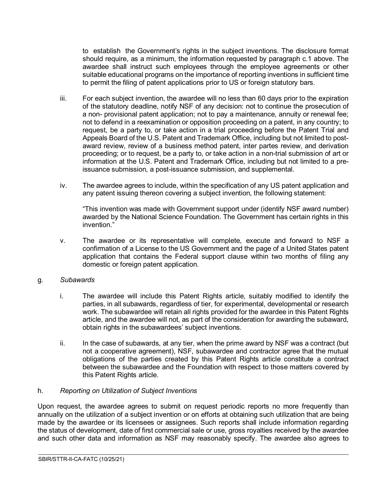to establish the Government's rights in the subject inventions. The disclosure format should require, as a minimum, the information requested by paragraph c.1 above. The awardee shall instruct such employees through the employee agreements or other suitable educational programs on the importance of reporting inventions in sufficient time to permit the filing of patent applications prior to US or foreign statutory bars.

- iii. For each subject invention, the awardee will no less than 60 days prior to the expiration of the statutory deadline, notify NSF of any decision: not to continue the prosecution of a non- provisional patent application; not to pay a maintenance, annuity or renewal fee; not to defend in a reexamination or opposition proceeding on a patent, in any country; to request, be a party to, or take action in a trial proceeding before the Patent Trial and Appeals Board of the U.S. Patent and Trademark Office, including but not limited to postaward review, review of a business method patent, inter partes review, and derivation proceeding; or to request, be a party to, or take action in a non-trial submission of art or information at the U.S. Patent and Trademark Office, including but not limited to a preissuance submission, a post-issuance submission, and supplemental.
- iv. The awardee agrees to include, within the specification of any US patent application and any patent issuing thereon covering a subject invention, the following statement:

"This invention was made with Government support under (identify NSF award number) awarded by the National Science Foundation. The Government has certain rights in this invention<sup>"</sup>

v. The awardee or its representative will complete, execute and forward to NSF a confirmation of a License to the US Government and the page of a United States patent application that contains the Federal support clause within two months of filing any domestic or foreign patent application.

#### g. *Subawards*

- i. The awardee will include this Patent Rights article, suitably modified to identify the parties, in all subawards, regardless of tier, for experimental, developmental or research work. The subawardee will retain all rights provided for the awardee in this Patent Rights article, and the awardee will not, as part of the consideration for awarding the subaward, obtain rights in the subawardees' subject inventions.
- ii. In the case of subawards, at any tier, when the prime award by NSF was a contract (but not a cooperative agreement), NSF, subawardee and contractor agree that the mutual obligations of the parties created by this Patent Rights article constitute a contract between the subawardee and the Foundation with respect to those matters covered by this Patent Rights article.

#### h. *Reporting on Utilization of Subject Inventions*

Upon request, the awardee agrees to submit on request periodic reports no more frequently than annually on the utilization of a subject invention or on efforts at obtaining such utilization that are being made by the awardee or its licensees or assignees. Such reports shall include information regarding the status of development, date of first commercial sale or use, gross royalties received by the awardee and such other data and information as NSF may reasonably specify. The awardee also agrees to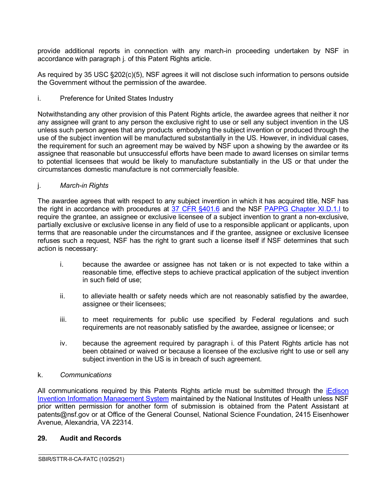provide additional reports in connection with any march-in proceeding undertaken by NSF in accordance with paragraph j. of this Patent Rights article.

As required by 35 USC §202(c)(5), NSF agrees it will not disclose such information to persons outside the Government without the permission of the awardee.

i. Preference for United States Industry

Notwithstanding any other provision of this Patent Rights article, the awardee agrees that neither it nor any assignee will grant to any person the exclusive right to use or sell any subject invention in the US unless such person agrees that any products embodying the subject invention or produced through the use of the subject invention will be manufactured substantially in the US. However, in individual cases, the requirement for such an agreement may be waived by NSF upon a showing by the awardee or its assignee that reasonable but unsuccessful efforts have been made to award licenses on similar terms to potential licensees that would be likely to manufacture substantially in the US or that under the circumstances domestic manufacture is not commercially feasible.

## j. *March-in Rights*

The awardee agrees that with respect to any subject invention in which it has acquired title, NSF has the right in accordance with procedures at [37 CFR §401.6](http://www.access.gpo.gov/nara/cfr/waisidx_06/37cfr401_06.html) and the NSF [PAPPG Chapter XI.D.1.l](https://www.nsf.gov/pubs/policydocs/pappg22_1/pappg_11.jsp#XID1) to require the grantee, an assignee or exclusive licensee of a subject invention to grant a non-exclusive, partially exclusive or exclusive license in any field of use to a responsible applicant or applicants, upon terms that are reasonable under the circumstances and if the grantee, assignee or exclusive licensee refuses such a request, NSF has the right to grant such a license itself if NSF determines that such action is necessary:

- i. because the awardee or assignee has not taken or is not expected to take within a reasonable time, effective steps to achieve practical application of the subject invention in such field of use;
- ii. to alleviate health or safety needs which are not reasonably satisfied by the awardee, assignee or their licensees;
- iii. to meet requirements for public use specified by Federal regulations and such requirements are not reasonably satisfied by the awardee, assignee or licensee; or
- iv. because the agreement required by paragraph i. of this Patent Rights article has not been obtained or waived or because a licensee of the exclusive right to use or sell any subject invention in the US is in breach of such agreement.

 $\overline{a}$ 

#### k. *Communications*

All communications required by this Patents Rights article must be submitted through the [iEdison](https://public.era.nih.gov/iedison/public/login.do?TYPE=33554433&REALMOID=06-dc4d00e8-1464-45e1-937f-0525407c30fd&GUID&SMAUTHREASON=0&METHOD=GET&SMAGENTNAME=-SM-938PYmoLVb4VrDeXo04LZUDVDvc%2b3899ByInEAjuSUvWNIGfB2zRpWiCivYGCogG&TARGET=-SM-http%3a%2f%2fpublic%2eera%2enih%2egov%2fiedison)  [Invention Information Management System](https://public.era.nih.gov/iedison/public/login.do?TYPE=33554433&REALMOID=06-dc4d00e8-1464-45e1-937f-0525407c30fd&GUID&SMAUTHREASON=0&METHOD=GET&SMAGENTNAME=-SM-938PYmoLVb4VrDeXo04LZUDVDvc%2b3899ByInEAjuSUvWNIGfB2zRpWiCivYGCogG&TARGET=-SM-http%3a%2f%2fpublic%2eera%2enih%2egov%2fiedison) maintained by the National Institutes of Health unless NSF prior written permission for another form of submission is obtained from the Patent Assistant at patents@nsf.gov or at Office of the General Counsel, National Science Foundation, 2415 Eisenhower Avenue, Alexandria, VA 22314.

#### <span id="page-25-0"></span>**29. Audit and Records**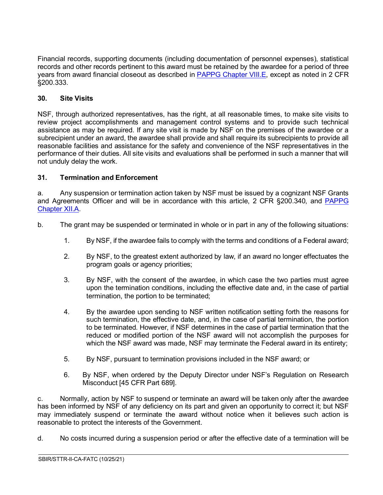Financial records, supporting documents (including documentation of personnel expenses), statistical records and other records pertinent to this award must be retained by the awardee for a period of three years from award financial closeout as described in [PAPPG Chapter VIII.E,](https://www.nsf.gov/pubs/policydocs/pappg22_1/pappg_8.jsp#VIIIE) except as noted in 2 CFR §200.333.

## <span id="page-26-0"></span>**30. Site Visits**

NSF, through authorized representatives, has the right, at all reasonable times, to make site visits to review project accomplishments and management control systems and to provide such technical assistance as may be required. If any site visit is made by NSF on the premises of the awardee or a subrecipient under an award, the awardee shall provide and shall require its subrecipients to provide all reasonable facilities and assistance for the safety and convenience of the NSF representatives in the performance of their duties. All site visits and evaluations shall be performed in such a manner that will not unduly delay the work.

## <span id="page-26-1"></span>**31. Termination and Enforcement**

a. Any suspension or termination action taken by NSF must be issued by a cognizant NSF Grants and Agreements Officer and will be in accordance with this article, 2 CFR §200.340, and [PAPPG](https://www.nsf.gov/pubs/policydocs/pappg22_1/pappg_12.jsp#XIIA)  [Chapter XII.A.](https://www.nsf.gov/pubs/policydocs/pappg22_1/pappg_12.jsp#XIIA)

- b. The grant may be suspended or terminated in whole or in part in any of the following situations:
	- 1. By NSF, if the awardee fails to comply with the terms and conditions of a Federal award;
	- 2. By NSF, to the greatest extent authorized by law, if an award no longer effectuates the program goals or agency priorities;
	- 3. By NSF, with the consent of the awardee, in which case the two parties must agree upon the termination conditions, including the effective date and, in the case of partial termination, the portion to be terminated;
	- 4. By the awardee upon sending to NSF written notification setting forth the reasons for such termination, the effective date, and, in the case of partial termination, the portion to be terminated. However, if NSF determines in the case of partial termination that the reduced or modified portion of the NSF award will not accomplish the purposes for which the NSF award was made, NSF may terminate the Federal award in its entirety:
	- 5. By NSF, pursuant to termination provisions included in the NSF award; or
	- 6. By NSF, when ordered by the Deputy Director under NSF's Regulation on Research Misconduct [45 CFR Part 689].

 $\overline{a}$ 

c. Normally, action by NSF to suspend or terminate an award will be taken only after the awardee has been informed by NSF of any deficiency on its part and given an opportunity to correct it; but NSF may immediately suspend or terminate the award without notice when it believes such action is reasonable to protect the interests of the Government.

d. No costs incurred during a suspension period or after the effective date of a termination will be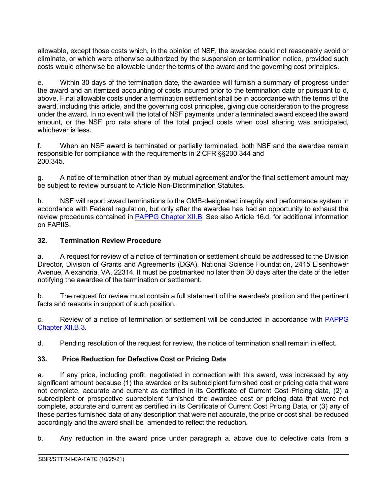allowable, except those costs which, in the opinion of NSF, the awardee could not reasonably avoid or eliminate, or which were otherwise authorized by the suspension or termination notice, provided such costs would otherwise be allowable under the terms of the award and the governing cost principles.

e. Within 30 days of the termination date, the awardee will furnish a summary of progress under the award and an itemized accounting of costs incurred prior to the termination date or pursuant to d, above. Final allowable costs under a termination settlement shall be in accordance with the terms of the award, including this article, and the governing cost principles, giving due consideration to the progress under the award. In no event will the total of NSF payments under a terminated award exceed the award amount, or the NSF pro rata share of the total project costs when cost sharing was anticipated, whichever is less.

f. When an NSF award is terminated or partially terminated, both NSF and the awardee remain responsible for compliance with the requirements in 2 CFR §§200.344 and 200.345.

g. A notice of termination other than by mutual agreement and/or the final settlement amount may be subject to review pursuant to Article Non-Discrimination Statutes.

h. NSF will report award terminations to the OMB-designated integrity and performance system in accordance with Federal regulation, but only after the awardee has had an opportunity to exhaust the review procedures contained in [PAPPG Chapter XII.B.](https://www.nsf.gov/pubs/policydocs/pappg22_1/pappg_12.jsp#XIIB) See also Article 16.d. for additional information on FAPIIS.

#### <span id="page-27-0"></span>**32. Termination Review Procedure**

a. A request for review of a notice of termination or settlement should be addressed to the Division Director, Division of Grants and Agreements (DGA), National Science Foundation, 2415 Eisenhower Avenue, Alexandria, VA, 22314. It must be postmarked no later than 30 days after the date of the letter notifying the awardee of the termination or settlement.

b. The request for review must contain a full statement of the awardee's position and the pertinent facts and reasons in support of such position.

c. Review of a notice of termination or settlement will be conducted in accordance with [PAPPG](https://www.nsf.gov/pubs/policydocs/pappg22_1/pappg_12.jsp#XIIB3)  [Chapter XII.B.3.](https://www.nsf.gov/pubs/policydocs/pappg22_1/pappg_12.jsp#XIIB3)

d. Pending resolution of the request for review, the notice of termination shall remain in effect.

## <span id="page-27-1"></span>**33. Price Reduction for Defective Cost or Pricing Data**

a. If any price, including profit, negotiated in connection with this award, was increased by any significant amount because (1) the awardee or its subrecipient furnished cost or pricing data that were not complete, accurate and current as certified in its Certificate of Current Cost Pricing data, (2) a subrecipient or prospective subrecipient furnished the awardee cost or pricing data that were not complete, accurate and current as certified in its Certificate of Current Cost Pricing Data, or (3) any of these parties furnished data of any description that were not accurate, the price or cost shall be reduced accordingly and the award shall be amended to reflect the reduction.

b. Any reduction in the award price under paragraph a. above due to defective data from a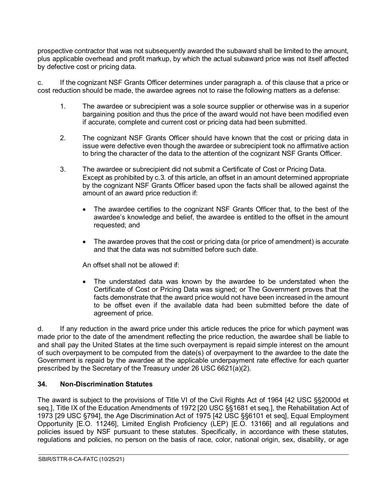prospective contractor that was not subsequently awarded the subaward shall be limited to the amount, plus applicable overhead and profit markup, by which the actual subaward price was not itself affected by defective cost or pricing data.

c. If the cognizant NSF Grants Officer determines under paragraph a. of this clause that a price or cost reduction should be made, the awardee agrees not to raise the following matters as a defense:

- 1. The awardee or subrecipient was a sole source supplier or otherwise was in a superior bargaining position and thus the price of the award would not have been modified even if accurate, complete and current cost or pricing data had been submitted.
- 2. The cognizant NSF Grants Officer should have known that the cost or pricing data in issue were defective even though the awardee or subrecipient took no affirmative action to bring the character of the data to the attention of the cognizant NSF Grants Officer.
- 3. The awardee or subrecipient did not submit a Certificate of Cost or Pricing Data. Except as prohibited by c.3. of this article, an offset in an amount determined appropriate by the cognizant NSF Grants Officer based upon the facts shall be allowed against the amount of an award price reduction if:
	- The awardee certifies to the cognizant NSF Grants Officer that, to the best of the awardee's knowledge and belief, the awardee is entitled to the offset in the amount requested; and
	- The awardee proves that the cost or pricing data (or price of amendment) is accurate and that the data was not submitted before such date.

An offset shall not be allowed if:

• The understated data was known by the awardee to be understated when the Certificate of Cost or Pricing Data was signed; or The Government proves that the facts demonstrate that the award price would not have been increased in the amount to be offset even if the available data had been submitted before the date of agreement of price.

d. If any reduction in the award price under this article reduces the price for which payment was made prior to the date of the amendment reflecting the price reduction, the awardee shall be liable to and shall pay the United States at the time such overpayment is repaid simple interest on the amount of such overpayment to be computed from the date(s) of overpayment to the awardee to the date the Government is repaid by the awardee at the applicable underpayment rate effective for each quarter prescribed by the Secretary of the Treasury under 26 USC 6621(a)(2).

## <span id="page-28-0"></span>**34. Non-Discrimination Statutes**

The award is subject to the provisions of Title VI of the Civil Rights Act of 1964 [42 USC §§2000d et seq.], Title IX of the Education Amendments of 1972 [20 USC §§1681 et seq.], the Rehabilitation Act of 1973 [29 USC §794], the Age Discrimination Act of 1975 [42 USC §§6101 et seq], Equal Employment Opportunity [E.O. 11246], Limited English Proficiency (LEP) [E.O. 13166] and all regulations and policies issued by NSF pursuant to these statutes. Specifically, in accordance with these statutes, regulations and policies, no person on the basis of race, color, national origin, sex, disability, or age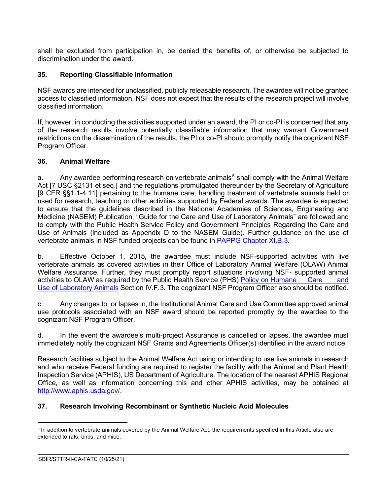shall be excluded from participation in, be denied the benefits of, or otherwise be subjected to discrimination under the award.

#### <span id="page-29-0"></span>**35. Reporting Classifiable Information**

NSF awards are intended for unclassified, publicly releasable research. The awardee will not be granted access to classified information. NSF does not expect that the results of the research project will involve classified information.

If, however, in conducting the activities supported under an award, the PI or co-PI is concerned that any of the research results involve potentially classifiable information that may warrant Government restrictions on the dissemination of the results, the PI or co-PI should promptly notify the cognizant NSF Program Officer.

#### <span id="page-29-1"></span>**36. Animal Welfare**

a. Any awardee performing research on vertebrate animals<sup>[5](#page-29-3)</sup> shall comply with the Animal Welfare Act [7 USC §2131 et seq.] and the regulations promulgated thereunder by the Secretary of Agriculture [9 CFR §§1.1-4.11] pertaining to the humane care, handling treatment of vertebrate animals held or used for research, teaching or other activities supported by Federal awards. The awardee is expected to ensure that the guidelines described in the National Academies of Sciences, Engineering and Medicine (NASEM) Publication, "Guide for the Care and Use of Laboratory Animals" are followed and to comply with the Public Health Service Policy and Government Principles Regarding the Care and Use of Animals (included as Appendix D to the NASEM Guide). Further guidance on the use of vertebrate animals in NSF funded projects can be found in [PAPPG Chapter XI.B.3.](https://www.nsf.gov/pubs/policydocs/pappg22_1/pappg_11.jsp#XIB3)

b. Effective October 1, 2015, the awardee must include NSF-supported activities with live vertebrate animals as covered activities in their Office of Laboratory Animal Welfare (OLAW) Animal Welfare Assurance. Further, they must promptly report situations involving NSF- supported animal activities to OLAW as required by the Public Health Service (PHS) [Policy on Humane](https://olaw.nih.gov/policies-laws/phs-policy.htm) Care and Use of [Laboratory](https://olaw.nih.gov/policies-laws/phs-policy.htm) Animals Section IV.F.3. The cognizant NSF Program Officer also should be notified.

c. Any changes to, or lapses in, the Institutional Animal Care and Use Committee approved animal use protocols associated with an NSF award should be reported promptly by the awardee to the cognizant NSF Program Officer.

d. In the event the awardee's multi-project Assurance is cancelled or lapses, the awardee must immediately notify the cognizant NSF Grants and Agreements Officer(s) identified in the award notice.

Research facilities subject to the Animal Welfare Act using or intending to use live animals in research and who receive Federal funding are required to register the facility with the Animal and Plant Health Inspection Service (APHIS), US Department of Agriculture. The location of the nearest APHIS Regional Office, as well as information concerning this and other APHIS activities, may be obtained at [http://www.aphis.usda.gov/.](http://www.aphis.usda.gov/)

#### <span id="page-29-2"></span>**37. Research Involving Recombinant or Synthetic Nucleic Acid Molecules**

<span id="page-29-3"></span><sup>&</sup>lt;sup>5</sup> In addition to vertebrate animals covered by the Animal Welfare Act, the requirements specified in this Article also are extended to rats, birds, and mice.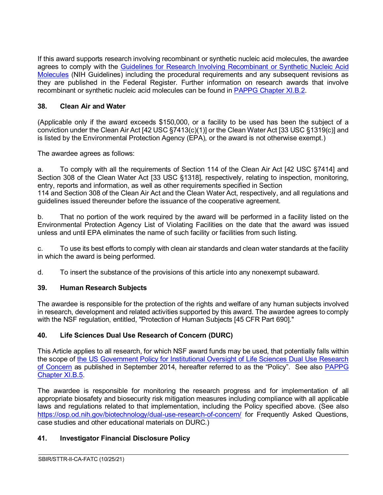If this award supports research involving recombinant or synthetic nucleic acid molecules, the awardee agrees to comply with the [Guidelines for Research Involving Recombinant or Synthetic Nucleic Acid](http://osp.od.nih.gov/office-biotechnology-activities/biosafety/nih-guidelines)  [Molecules](http://osp.od.nih.gov/office-biotechnology-activities/biosafety/nih-guidelines) (NIH Guidelines) including the procedural requirements and any subsequent revisions as they are published in the Federal Register. Further information on research awards that involve recombinant or synthetic nucleic acid molecules can be found in [PAPPG Chapter XI.B.2.](https://www.nsf.gov/pubs/policydocs/pappg22_1/pappg_11.jsp#XIB2)

## <span id="page-30-0"></span>**38. Clean Air and Water**

(Applicable only if the award exceeds \$150,000, or a facility to be used has been the subject of a conviction under the Clean Air Act [42 USC §7413(c)(1)] or the Clean Water Act [33 USC §1319(c)] and is listed by the Environmental Protection Agency (EPA), or the award is not otherwise exempt.)

The awardee agrees as follows:

a. To comply with all the requirements of Section 114 of the Clean Air Act [42 USC §7414] and Section 308 of the Clean Water Act [33 USC §1318], respectively, relating to inspection, monitoring, entry, reports and information, as well as other requirements specified in Section 114 and Section 308 of the Clean Air Act and the Clean Water Act, respectively, and all regulations and guidelines issued thereunder before the issuance of the cooperative agreement.

b. That no portion of the work required by the award will be performed in a facility listed on the Environmental Protection Agency List of Violating Facilities on the date that the award was issued unless and until EPA eliminates the name of such facility or facilities from such listing.

c. To use its best efforts to comply with clean air standards and clean water standards at the facility in which the award is being performed.

d. To insert the substance of the provisions of this article into any nonexempt subaward.

## <span id="page-30-1"></span>**39. Human Research Subjects**

The awardee is responsible for the protection of the rights and welfare of any human subjects involved in research, development and related activities supported by this award. The awardee agrees to comply with the NSF regulation, entitled, "Protection of Human Subjects [45 CFR Part 690]."

## <span id="page-30-2"></span>**40. Life Sciences Dual Use Research of Concern (DURC)**

This Article applies to all research, for which NSF award funds may be used, that potentially falls within the scope of [the US Government Policy for Institutional Oversight of Life Sciences Dual Use Research](http://www.phe.gov/s3/dualuse/Pages/default.aspx)  [of Concern](http://www.phe.gov/s3/dualuse/Pages/default.aspx) as published in September 2014, hereafter referred to as the "Policy". See also [PAPPG](https://www.nsf.gov/pubs/policydocs/pappg22_1/pappg_11.jsp#XIB5)  [Chapter XI.B.5.](https://www.nsf.gov/pubs/policydocs/pappg22_1/pappg_11.jsp#XIB5)

The awardee is responsible for monitoring the research progress and for implementation of all appropriate biosafety and biosecurity risk mitigation measures including compliance with all applicable laws and regulations related to that implementation, including the Policy specified above. (See also <https://osp.od.nih.gov/biotechnology/dual-use-research-of-concern/> for Frequently Asked Questions, case studies and other educational materials on DURC.)

 $\overline{a}$ 

## <span id="page-30-3"></span>**41. Investigator Financial Disclosure Policy**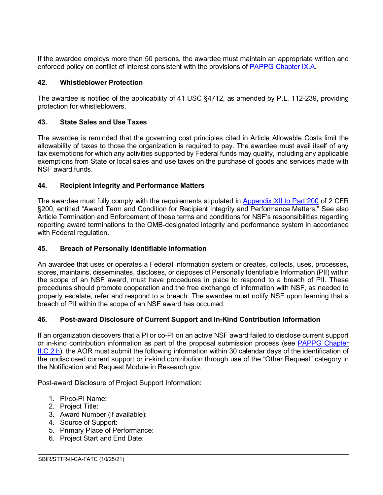If the awardee employs more than 50 persons, the awardee must maintain an appropriate written and enforced policy on conflict of interest consistent with the provisions of [PAPPG Chapter IX.A.](https://www.nsf.gov/pubs/policydocs/pappg22_1/pappg_9.jsp#IXA)

## <span id="page-31-0"></span>**42. Whistleblower Protection**

The awardee is notified of the applicability of 41 USC §4712, as amended by P.L. 112-239, providing protection for whistleblowers.

## <span id="page-31-1"></span>**43. State Sales and Use Taxes**

The awardee is reminded that the governing cost principles cited in Article Allowable Costs limit the allowability of taxes to those the organization is required to pay. The awardee must avail itself of any tax exemptions for which any activities supported by Federal funds may qualify, including any applicable exemptions from State or local sales and use taxes on the purchase of goods and services made with NSF award funds.

## <span id="page-31-2"></span>**44. Recipient Integrity and Performance Matters**

The awardee must fully comply with the requirements stipulated in [Appendix XII to Part 200](https://www.ecfr.gov/cgi-bin/text-idx?SID=704835d27377ef5213a51c149de40cab&node=2:1.1.2.2.1&rgn=div5) of 2 CFR §200, entitled "Award Term and Condition for Recipient Integrity and Performance Matters." See also Article Termination and Enforcement of these terms and conditions for NSF's responsibilities regarding reporting award terminations to the OMB-designated integrity and performance system in accordance with Federal regulation.

## <span id="page-31-3"></span>**45. Breach of Personally Identifiable Information**

An awardee that uses or operates a Federal information system or creates, collects, uses, processes, stores, maintains, disseminates, discloses, or disposes of Personally Identifiable Information (PII) within the scope of an NSF award, must have procedures in place to respond to a breach of PII. These procedures should promote cooperation and the free exchange of information with NSF, as needed to properly escalate, refer and respond to a breach. The awardee must notify NSF upon learning that a breach of PII within the scope of an NSF award has occurred.

## <span id="page-31-4"></span>**46. Post-award Disclosure of Current Support and In-Kind Contribution Information**

If an organization discovers that a PI or co-PI on an active NSF award failed to disclose current support or in-kind contribution information as part of the proposal submission process (see [PAPPG Chapter](https://www.nsf.gov/pubs/policydocs/pappg22_1/pappg_2.jsp#IIC2h)  [II.C.2.h\)](https://www.nsf.gov/pubs/policydocs/pappg22_1/pappg_2.jsp#IIC2h), the AOR must submit the following information within 30 calendar days of the identification of the undisclosed current support or in-kind contribution through use of the "Other Request" category in the Notification and Request Module in Research.gov.

 $\overline{a}$ 

Post-award Disclosure of Project Support Information:

- 1. PI/co-PI Name:
- 2. Project Title:
- 3. Award Number (if available):
- 4. Source of Support:
- 5. Primary Place of Performance:
- 6. Project Start and End Date: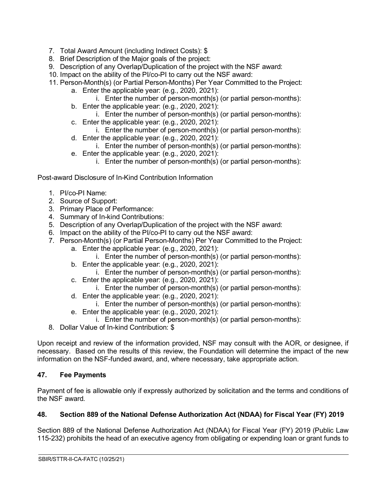- 7. Total Award Amount (including Indirect Costs): \$
- 8. Brief Description of the Major goals of the project:
- 9. Description of any Overlap/Duplication of the project with the NSF award:
- 10. Impact on the ability of the PI/co-PI to carry out the NSF award:
- 11. Person-Month(s) (or Partial Person-Months) Per Year Committed to the Project:
	- a. Enter the applicable year: (e.g., 2020, 2021):
		- i. Enter the number of person-month(s) (or partial person-months):
	- b. Enter the applicable year: (e.g., 2020, 2021):
		- i. Enter the number of person-month(s) (or partial person-months):
	- c. Enter the applicable year: (e.g., 2020, 2021):
		- i. Enter the number of person-month(s) (or partial person-months):
	- d. Enter the applicable year: (e.g., 2020, 2021): i. Enter the number of person-month(s) (or partial person-months):
	- e. Enter the applicable year: (e.g., 2020, 2021):
		- i. Enter the number of person-month(s) (or partial person-months):

Post-award Disclosure of In-Kind Contribution Information

- 1. PI/co-PI Name:
- 2. Source of Support:
- 3. Primary Place of Performance:
- 4. Summary of In-kind Contributions:
- 5. Description of any Overlap/Duplication of the project with the NSF award:
- 6. Impact on the ability of the PI/co-PI to carry out the NSF award:
- 7. Person-Month(s) (or Partial Person-Months) Per Year Committed to the Project:
	- a. Enter the applicable year: (e.g., 2020, 2021):
	- i. Enter the number of person-month(s) (or partial person-months):
	- b. Enter the applicable year: (e.g., 2020, 2021):
		- i. Enter the number of person-month(s) (or partial person-months):
	- c. Enter the applicable year: (e.g., 2020, 2021):
	- i. Enter the number of person-month(s) (or partial person-months):
	- d. Enter the applicable year: (e.g., 2020, 2021):
		- i. Enter the number of person-month(s) (or partial person-months):
	- e. Enter the applicable year: (e.g., 2020, 2021):
	- i. Enter the number of person-month(s) (or partial person-months):
- 8. Dollar Value of In-kind Contribution: \$

Upon receipt and review of the information provided, NSF may consult with the AOR, or designee, if necessary. Based on the results of this review, the Foundation will determine the impact of the new information on the NSF-funded award, and, where necessary, take appropriate action.

## <span id="page-32-0"></span>**47. Fee Payments**

Payment of fee is allowable only if expressly authorized by solicitation and the terms and conditions of the NSF award.

## <span id="page-32-1"></span>**48. Section 889 of the National Defense Authorization Act (NDAA) for Fiscal Year (FY) 2019**

Section 889 of the National Defense Authorization Act (NDAA) for Fiscal Year (FY) 2019 (Public Law 115-232) prohibits the head of an executive agency from obligating or expending loan or grant funds to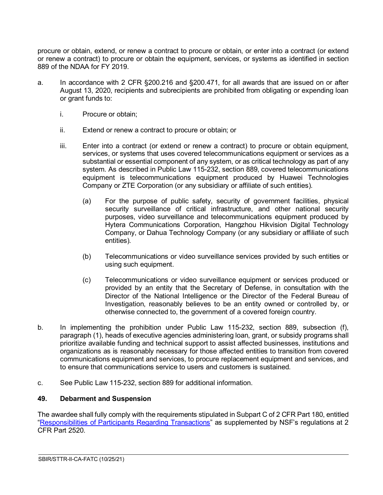procure or obtain, extend, or renew a contract to procure or obtain, or enter into a contract (or extend or renew a contract) to procure or obtain the equipment, services, or systems as identified in section 889 of the NDAA for FY 2019.

- a. In accordance with 2 CFR §200.216 and §200.471, for all awards that are issued on or after August 13, 2020, recipients and subrecipients are prohibited from obligating or expending loan or grant funds to:
	- i. Procure or obtain;
	- ii. Extend or renew a contract to procure or obtain; or
	- iii. Enter into a contract (or extend or renew a contract) to procure or obtain equipment, services, or systems that uses covered telecommunications equipment or services as a substantial or essential component of any system, or as critical technology as part of any system. As described in Public Law 115-232, section 889, covered telecommunications equipment is telecommunications equipment produced by Huawei Technologies Company or ZTE Corporation (or any subsidiary or affiliate of such entities).
		- (a) For the purpose of public safety, security of government facilities, physical security surveillance of critical infrastructure, and other national security purposes, video surveillance and telecommunications equipment produced by Hytera Communications Corporation, Hangzhou Hikvision Digital Technology Company, or Dahua Technology Company (or any subsidiary or affiliate of such entities).
		- (b) Telecommunications or video surveillance services provided by such entities or using such equipment.
		- (c) Telecommunications or video surveillance equipment or services produced or provided by an entity that the Secretary of Defense, in consultation with the Director of the National Intelligence or the Director of the Federal Bureau of Investigation, reasonably believes to be an entity owned or controlled by, or otherwise connected to, the government of a covered foreign country.
- b. In implementing the prohibition under Public Law 115-232, section 889, subsection (f), paragraph (1), heads of executive agencies administering loan, grant, or subsidy programs shall prioritize available funding and technical support to assist affected businesses, institutions and organizations as is reasonably necessary for those affected entities to transition from covered communications equipment and services, to procure replacement equipment and services, and to ensure that communications service to users and customers is sustained.
- c. See Public Law 115-232, section 889 for additional information.

#### <span id="page-33-0"></span>**49. Debarment and Suspension**

The awardee shall fully comply with the requirements stipulated in Subpart C of 2 CFR Part 180, entitled ["Responsibilities of Participants Regarding Transactions"](https://www.govinfo.gov/content/pkg/CFR-2011-title2-vol1/pdf/CFR-2011-title2-vol1-part2520.pdf) as supplemented by NSF's regulations at 2 CFR Part 2520.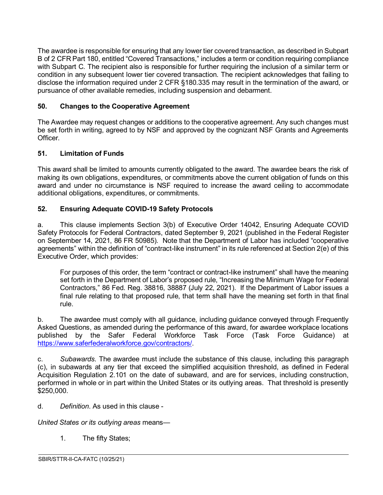The awardee is responsible for ensuring that any lower tier covered transaction, as described in Subpart B of 2 CFR Part 180, entitled "Covered Transactions," includes a term or condition requiring compliance with Subpart C. The recipient also is responsible for further requiring the inclusion of a similar term or condition in any subsequent lower tier covered transaction. The recipient acknowledges that failing to disclose the information required under 2 CFR §180.335 may result in the termination of the award, or pursuance of other available remedies, including suspension and debarment.

## <span id="page-34-0"></span>**50. Changes to the Cooperative Agreement**

The Awardee may request changes or additions to the cooperative agreement. Any such changes must be set forth in writing, agreed to by NSF and approved by the cognizant NSF Grants and Agreements Officer.

#### <span id="page-34-1"></span>**51. Limitation of Funds**

This award shall be limited to amounts currently obligated to the award. The awardee bears the risk of making its own obligations, expenditures, or commitments above the current obligation of funds on this award and under no circumstance is NSF required to increase the award ceiling to accommodate additional obligations, expenditures, or commitments.

#### <span id="page-34-2"></span>**52. Ensuring Adequate COVID-19 Safety Protocols**

a. This clause implements Section 3(b) of Executive Order 14042, Ensuring Adequate COVID Safety Protocols for Federal Contractors, dated September 9, 2021 (published in the Federal Register on September 14, 2021, 86 FR 50985). Note that the Department of Labor has included "cooperative agreements" within the definition of "contract-like instrument" in its rule referenced at Section 2(e) of this Executive Order, which provides:

For purposes of this order, the term "contract or contract-like instrument" shall have the meaning set forth in the Department of Labor's proposed rule, "Increasing the Minimum Wage for Federal Contractors," 86 Fed. Reg. 38816, 38887 (July 22, 2021). If the Department of Labor issues a final rule relating to that proposed rule, that term shall have the meaning set forth in that final rule.

b. The awardee must comply with all guidance, including guidance conveyed through Frequently Asked Questions, as amended during the performance of this award, for awardee workplace locations published by the Safer Federal Workforce Task Force (Task Force Guidance) at [https://www.saferfederalworkforce.gov/contractors/.](https://www.saferfederalworkforce.gov/contractors/)

c. *Subawards*. The awardee must include the substance of this clause, including this paragraph (c), in subawards at any tier that exceed the simplified acquisition threshold, as defined in Federal Acquisition Regulation 2.101 on the date of subaward, and are for services, including construction, performed in whole or in part within the United States or its outlying areas. That threshold is presently \$250,000.

 $\overline{a}$ 

d. *Definition*. As used in this clause -

*United States or its outlying areas* means—

1. The fifty States;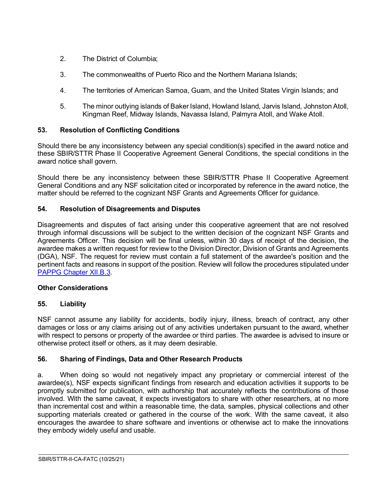- 2. The District of Columbia;
- 3. The commonwealths of Puerto Rico and the Northern Mariana Islands;
- 4. The territories of American Samoa, Guam, and the United States Virgin Islands; and
- 5. The minor outlying islands of Baker Island, Howland Island, Jarvis Island, Johnston Atoll, Kingman Reef, Midway Islands, Navassa Island, Palmyra Atoll, and Wake Atoll.

## <span id="page-35-0"></span>**53. Resolution of Conflicting Conditions**

Should there be any inconsistency between any special condition(s) specified in the award notice and these SBIR/STTR Phase II Cooperative Agreement General Conditions, the special conditions in the award notice shall govern.

Should there be any inconsistency between these SBIR/STTR Phase II Cooperative Agreement General Conditions and any NSF solicitation cited or incorporated by reference in the award notice, the matter should be referred to the cognizant NSF Grants and Agreements Officer for guidance.

## <span id="page-35-1"></span>**54. Resolution of Disagreements and Disputes**

Disagreements and disputes of fact arising under this cooperative agreement that are not resolved through informal discussions will be subject to the written decision of the cognizant NSF Grants and Agreements Officer. This decision will be final unless, within 30 days of receipt of the decision, the awardee makes a written request for review to the Division Director, Division of Grants and Agreements (DGA), NSF. The request for review must contain a full statement of the awardee's position and the pertinent facts and reasons in support of the position. Review will follow the procedures stipulated under [PAPPG Chapter XII.B.3.](https://www.nsf.gov/pubs/policydocs/pappg22_1/pappg_12.jsp#XIIB)

## **Other Considerations**

## <span id="page-35-2"></span>**55. Liability**

NSF cannot assume any liability for accidents, bodily injury, illness, breach of contract, any other damages or loss or any claims arising out of any activities undertaken pursuant to the award, whether with respect to persons or property of the awardee or third parties. The awardee is advised to insure or otherwise protect itself or others, as it may deem desirable.

## <span id="page-35-3"></span>**56. Sharing of Findings, Data and Other Research Products**

a. When doing so would not negatively impact any proprietary or commercial interest of the awardee(s), NSF expects significant findings from research and education activities it supports to be promptly submitted for publication, with authorship that accurately reflects the contributions of those involved. With the same caveat, it expects investigators to share with other researchers, at no more than incremental cost and within a reasonable time, the data, samples, physical collections and other supporting materials created or gathered in the course of the work. With the same caveat, it also encourages the awardee to share software and inventions or otherwise act to make the innovations they embody widely useful and usable.